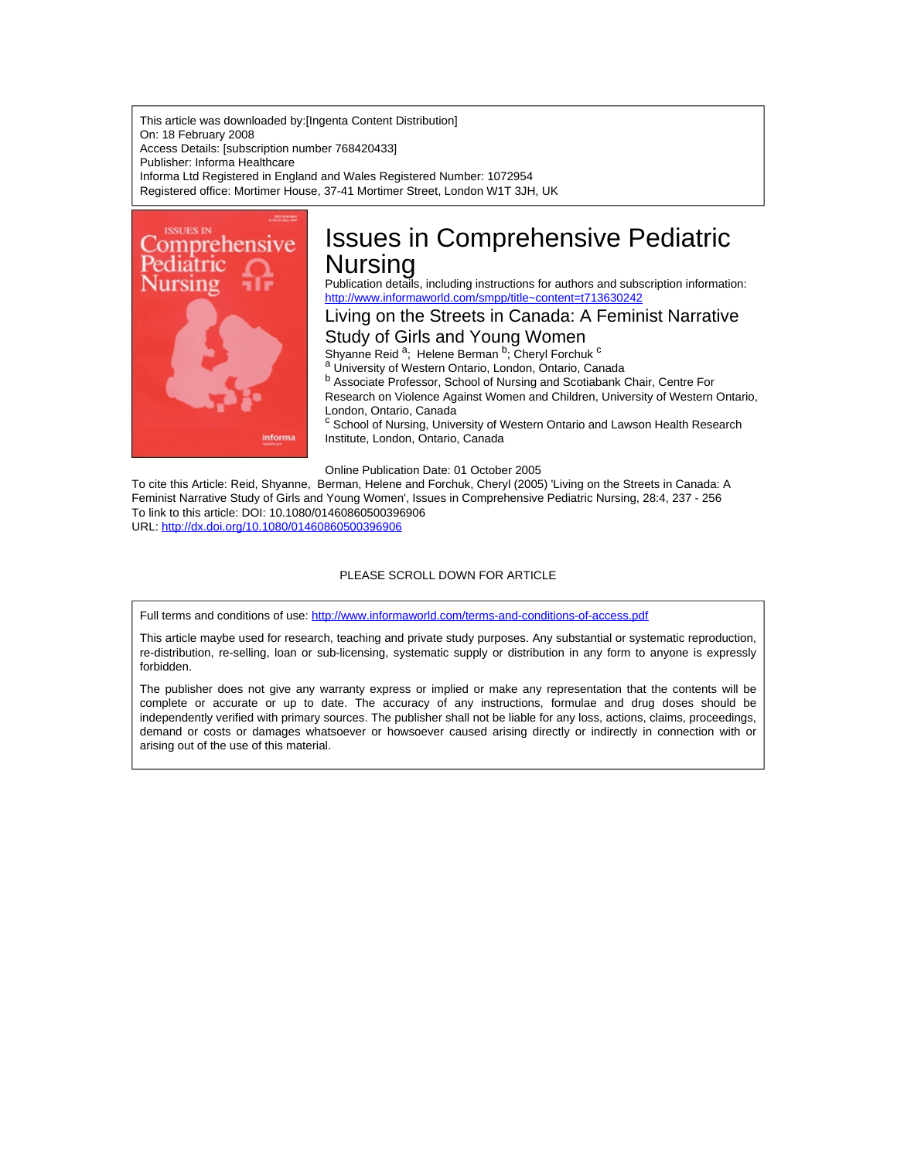This article was downloaded by:[Ingenta Content Distribution] On: 18 February 2008 Access Details: [subscription number 768420433] Publisher: Informa Healthcare Informa Ltd Registered in England and Wales Registered Number: 1072954 Registered office: Mortimer House, 37-41 Mortimer Street, London W1T 3JH, UK



# Issues in Comprehensive Pediatric Nursing

Publication details, including instructions for authors and subscription information: <http://www.informaworld.com/smpp/title~content=t713630242>

## Living on the Streets in Canada: A Feminist Narrative Study of Girls and Young Women

Shyanne Reid<sup>a</sup>; Helene Berman <sup>b</sup>; Cheryl Forchuk <sup>c</sup> a University of Western Ontario, London, Ontario, Canada b Associate Professor, School of Nursing and Scotiabank Chair, Centre For Research on Violence Against Women and Children, University of Western Ontario, London, Ontario, Canada  $\text{c}$  School of Nursing, University of Western Ontario and Lawson Health Research Institute, London, Ontario, Canada

Online Publication Date: 01 October 2005

To cite this Article: Reid, Shyanne, Berman, Helene and Forchuk, Cheryl (2005) 'Living on the Streets in Canada: A Feminist Narrative Study of Girls and Young Women', Issues in Comprehensive Pediatric Nursing, 28:4, 237 - 256 To link to this article: DOI: 10.1080/01460860500396906 URL: <http://dx.doi.org/10.1080/01460860500396906>

#### PLEASE SCROLL DOWN FOR ARTICLE

Full terms and conditions of use: <http://www.informaworld.com/terms-and-conditions-of-access.pdf>

This article maybe used for research, teaching and private study purposes. Any substantial or systematic reproduction, re-distribution, re-selling, loan or sub-licensing, systematic supply or distribution in any form to anyone is expressly forbidden.

The publisher does not give any warranty express or implied or make any representation that the contents will be complete or accurate or up to date. The accuracy of any instructions, formulae and drug doses should be independently verified with primary sources. The publisher shall not be liable for any loss, actions, claims, proceedings, demand or costs or damages whatsoever or howsoever caused arising directly or indirectly in connection with or arising out of the use of this material.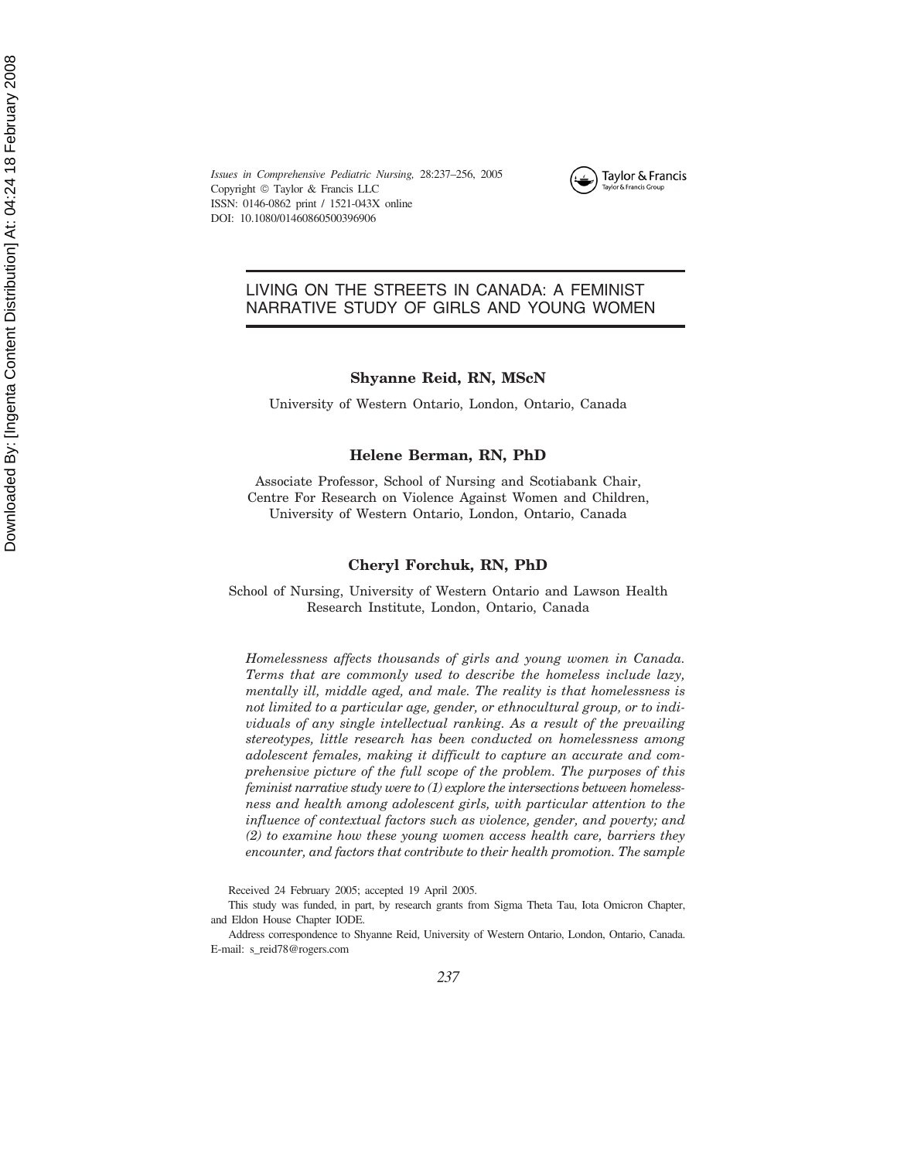*Issues in Comprehensive Pediatric Nursing,* 28:237–256, 2005 Copyright © Taylor & Francis LLC ISSN: 0146-0862 print / 1521-043X online DOI: 10.1080/01460860500396906



### LIVING ON THE STREETS IN CANADA: A FEMINIST NARRATIVE STUDY OF GIRLS AND YOUNG WOMEN

#### **Shyanne Reid, RN, MScN**

University of Western Ontario, London, Ontario, Canada

#### **Helene Berman, RN, PhD**

Associate Professor, School of Nursing and Scotiabank Chair, Centre For Research on Violence Against Women and Children, University of Western Ontario, London, Ontario, Canada

#### **Cheryl Forchuk, RN, PhD**

School of Nursing, University of Western Ontario and Lawson Health Research Institute, London, Ontario, Canada

*Homelessness affects thousands of girls and young women in Canada. Terms that are commonly used to describe the homeless include lazy, mentally ill, middle aged, and male. The reality is that homelessness is not limited to a particular age, gender, or ethnocultural group, or to individuals of any single intellectual ranking. As a result of the prevailing stereotypes, little research has been conducted on homelessness among adolescent females, making it difficult to capture an accurate and comprehensive picture of the full scope of the problem. The purposes of this feminist narrative study were to (1) explore the intersections between homelessness and health among adolescent girls, with particular attention to the influence of contextual factors such as violence, gender, and poverty; and (2) to examine how these young women access health care, barriers they encounter, and factors that contribute to their health promotion. The sample*

Received 24 February 2005; accepted 19 April 2005.

This study was funded, in part, by research grants from Sigma Theta Tau, Iota Omicron Chapter, and Eldon House Chapter IODE.

Address correspondence to Shyanne Reid, University of Western Ontario, London, Ontario, Canada. E-mail: s\_reid78@rogers.com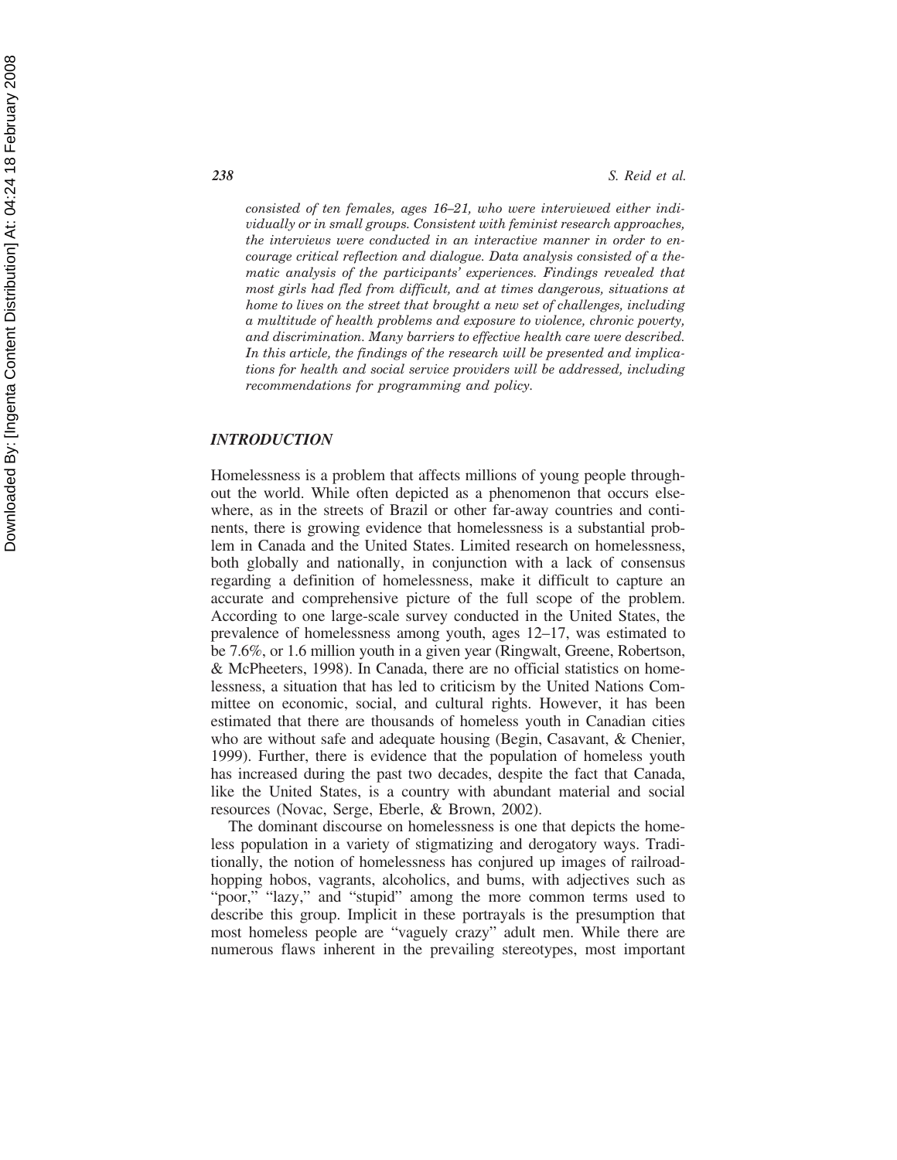*consisted of ten females, ages 16–21, who were interviewed either individually or in small groups. Consistent with feminist research approaches, the interviews were conducted in an interactive manner in order to encourage critical reflection and dialogue. Data analysis consisted of a thematic analysis of the participants' experiences. Findings revealed that most girls had fled from difficult, and at times dangerous, situations at home to lives on the street that brought a new set of challenges, including a multitude of health problems and exposure to violence, chronic poverty, and discrimination. Many barriers to effective health care were described. In this article, the findings of the research will be presented and implications for health and social service providers will be addressed, including recommendations for programming and policy.*

#### *INTRODUCTION*

Homelessness is a problem that affects millions of young people throughout the world. While often depicted as a phenomenon that occurs elsewhere, as in the streets of Brazil or other far-away countries and continents, there is growing evidence that homelessness is a substantial problem in Canada and the United States. Limited research on homelessness, both globally and nationally, in conjunction with a lack of consensus regarding a definition of homelessness, make it difficult to capture an accurate and comprehensive picture of the full scope of the problem. According to one large-scale survey conducted in the United States, the prevalence of homelessness among youth, ages 12–17, was estimated to be 7.6%, or 1.6 million youth in a given year (Ringwalt, Greene, Robertson, & McPheeters, 1998). In Canada, there are no official statistics on homelessness, a situation that has led to criticism by the United Nations Committee on economic, social, and cultural rights. However, it has been estimated that there are thousands of homeless youth in Canadian cities who are without safe and adequate housing (Begin, Casavant, & Chenier, 1999). Further, there is evidence that the population of homeless youth has increased during the past two decades, despite the fact that Canada, like the United States, is a country with abundant material and social resources (Novac, Serge, Eberle, & Brown, 2002).

The dominant discourse on homelessness is one that depicts the homeless population in a variety of stigmatizing and derogatory ways. Traditionally, the notion of homelessness has conjured up images of railroadhopping hobos, vagrants, alcoholics, and bums, with adjectives such as "poor," "lazy," and "stupid" among the more common terms used to describe this group. Implicit in these portrayals is the presumption that most homeless people are "vaguely crazy" adult men. While there are numerous flaws inherent in the prevailing stereotypes, most important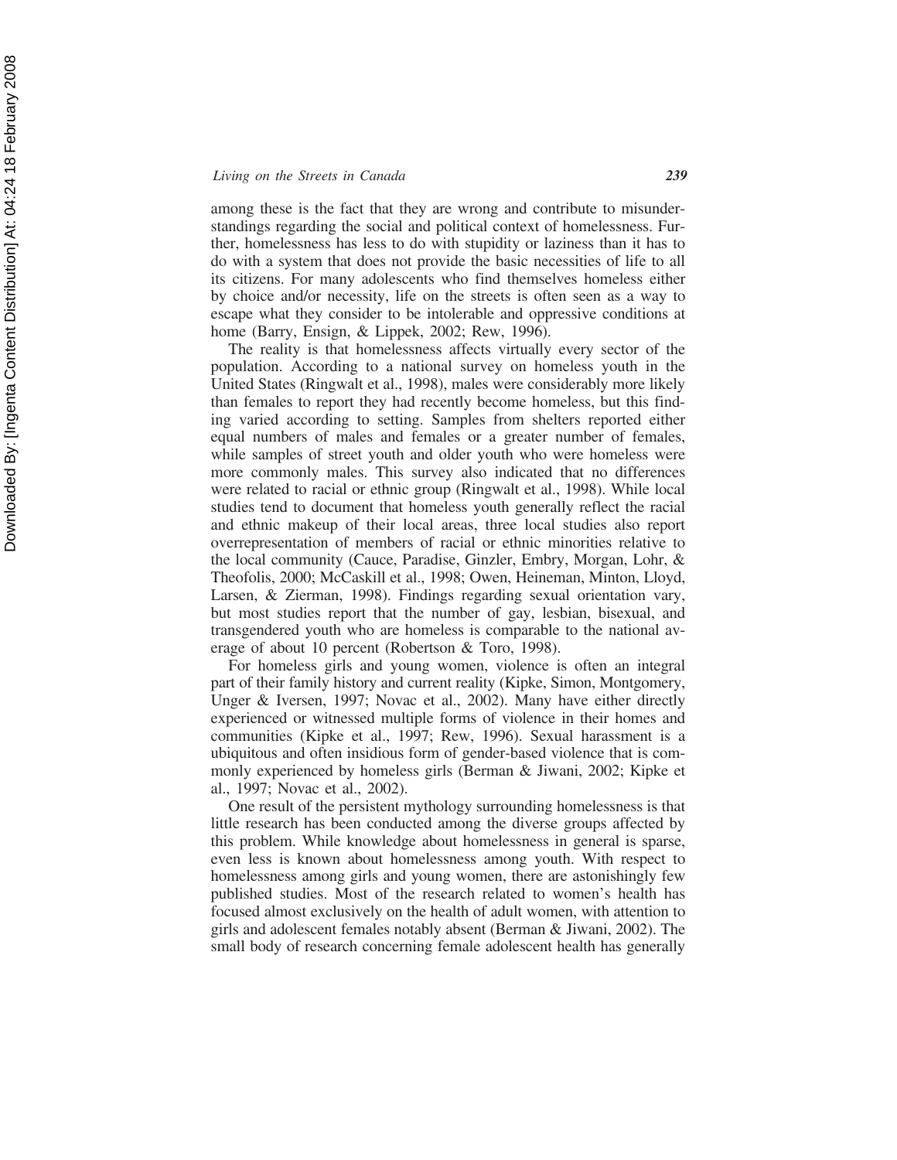among these is the fact that they are wrong and contribute to misunderstandings regarding the social and political context of homelessness. Further, homelessness has less to do with stupidity or laziness than it has to do with a system that does not provide the basic necessities of life to all its citizens. For many adolescents who find themselves homeless either by choice and/or necessity, life on the streets is often seen as a way to escape what they consider to be intolerable and oppressive conditions at home (Barry, Ensign, & Lippek, 2002; Rew, 1996).

The reality is that homelessness affects virtually every sector of the population. According to a national survey on homeless youth in the United States (Ringwalt et al., 1998), males were considerably more likely than females to report they had recently become homeless, but this finding varied according to setting. Samples from shelters reported either equal numbers of males and females or a greater number of females, while samples of street youth and older youth who were homeless were more commonly males. This survey also indicated that no differences were related to racial or ethnic group (Ringwalt et al., 1998). While local studies tend to document that homeless youth generally reflect the racial and ethnic makeup of their local areas, three local studies also report overrepresentation of members of racial or ethnic minorities relative to the local community (Cauce, Paradise, Ginzler, Embry, Morgan, Lohr, & Theofolis, 2000; McCaskill et al., 1998; Owen, Heineman, Minton, Lloyd, Larsen, & Zierman, 1998). Findings regarding sexual orientation vary, but most studies report that the number of gay, lesbian, bisexual, and transgendered youth who are homeless is comparable to the national average of about 10 percent (Robertson & Toro, 1998).

For homeless girls and young women, violence is often an integral part of their family history and current reality (Kipke, Simon, Montgomery, Unger & Iversen, 1997; Novac et al., 2002). Many have either directly experienced or witnessed multiple forms of violence in their homes and communities (Kipke et al., 1997; Rew, 1996). Sexual harassment is a ubiquitous and often insidious form of gender-based violence that is commonly experienced by homeless girls (Berman & Jiwani, 2002; Kipke et al., 1997; Novac et al., 2002).

One result of the persistent mythology surrounding homelessness is that little research has been conducted among the diverse groups affected by this problem. While knowledge about homelessness in general is sparse, even less is known about homelessness among youth. With respect to homelessness among girls and young women, there are astonishingly few published studies. Most of the research related to women's health has focused almost exclusively on the health of adult women, with attention to girls and adolescent females notably absent (Berman & Jiwani, 2002). The small body of research concerning female adolescent health has generally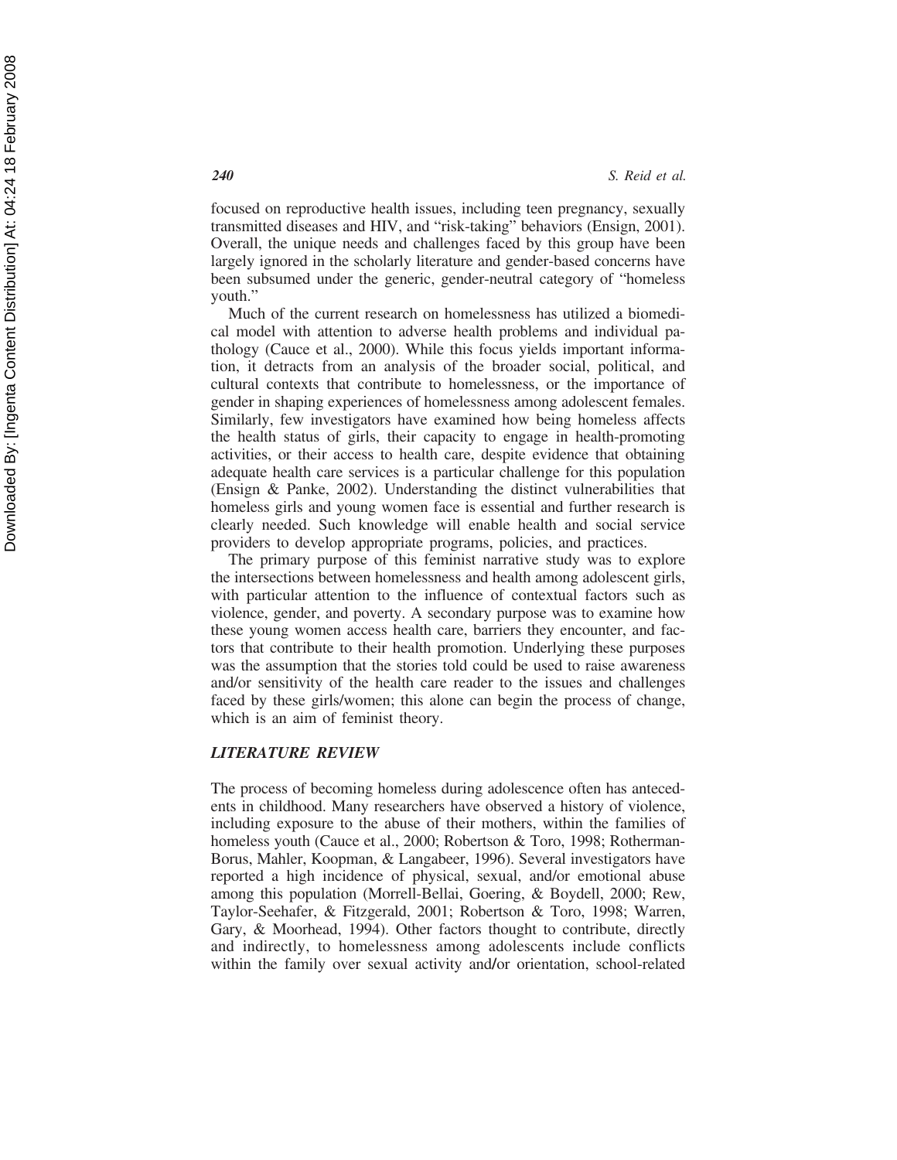focused on reproductive health issues, including teen pregnancy, sexually transmitted diseases and HIV, and "risk-taking" behaviors (Ensign, 2001). Overall, the unique needs and challenges faced by this group have been largely ignored in the scholarly literature and gender-based concerns have been subsumed under the generic, gender-neutral category of "homeless youth."

Much of the current research on homelessness has utilized a biomedical model with attention to adverse health problems and individual pathology (Cauce et al., 2000). While this focus yields important information, it detracts from an analysis of the broader social, political, and cultural contexts that contribute to homelessness, or the importance of gender in shaping experiences of homelessness among adolescent females. Similarly, few investigators have examined how being homeless affects the health status of girls, their capacity to engage in health-promoting activities, or their access to health care, despite evidence that obtaining adequate health care services is a particular challenge for this population (Ensign & Panke, 2002). Understanding the distinct vulnerabilities that homeless girls and young women face is essential and further research is clearly needed. Such knowledge will enable health and social service providers to develop appropriate programs, policies, and practices.

The primary purpose of this feminist narrative study was to explore the intersections between homelessness and health among adolescent girls, with particular attention to the influence of contextual factors such as violence, gender, and poverty. A secondary purpose was to examine how these young women access health care, barriers they encounter, and factors that contribute to their health promotion. Underlying these purposes was the assumption that the stories told could be used to raise awareness and/or sensitivity of the health care reader to the issues and challenges faced by these girls/women; this alone can begin the process of change, which is an aim of feminist theory.

#### *LITERATURE REVIEW*

The process of becoming homeless during adolescence often has antecedents in childhood. Many researchers have observed a history of violence, including exposure to the abuse of their mothers, within the families of homeless youth (Cauce et al., 2000; Robertson & Toro, 1998; Rotherman-Borus, Mahler, Koopman, & Langabeer, 1996). Several investigators have reported a high incidence of physical, sexual, and/or emotional abuse among this population (Morrell-Bellai, Goering, & Boydell, 2000; Rew, Taylor-Seehafer, & Fitzgerald, 2001; Robertson & Toro, 1998; Warren, Gary, & Moorhead, 1994). Other factors thought to contribute, directly and indirectly, to homelessness among adolescents include conflicts within the family over sexual activity and**/**or orientation, school-related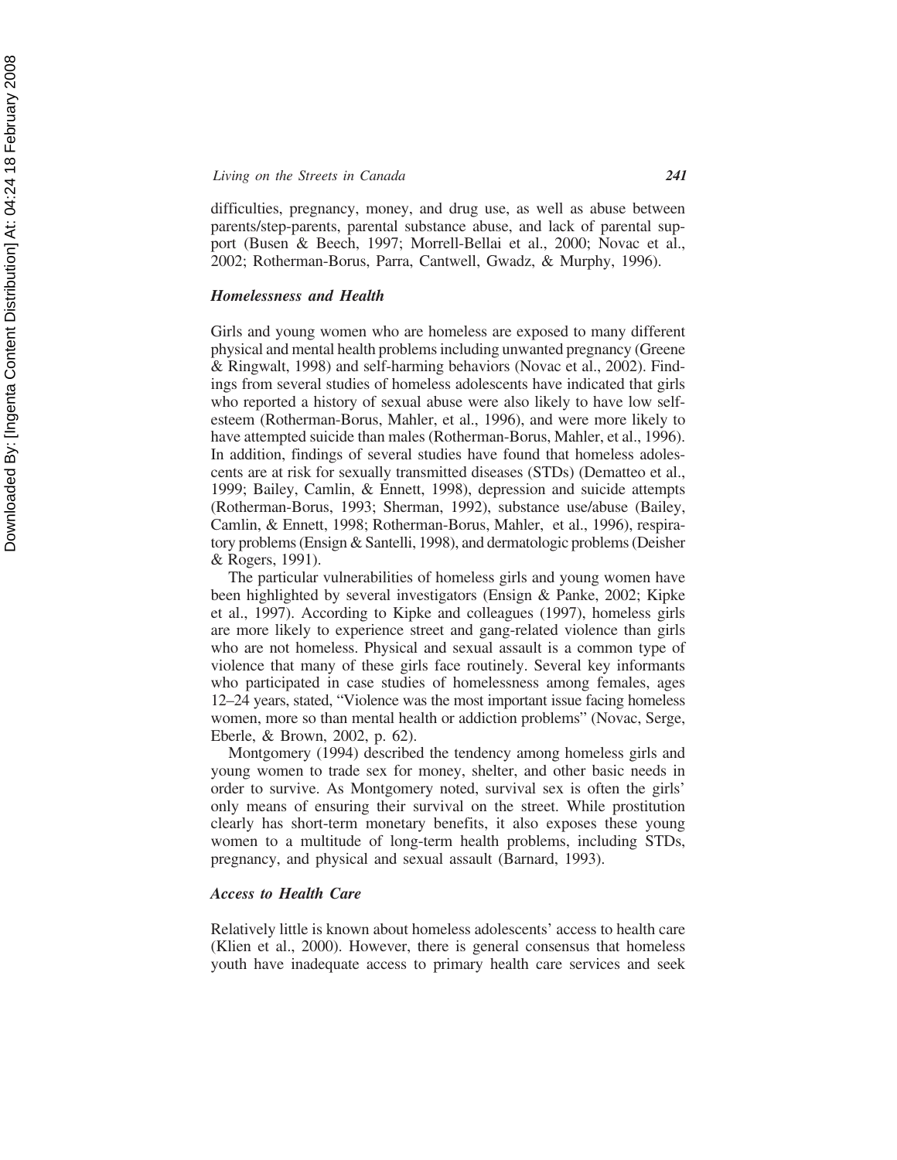difficulties, pregnancy, money, and drug use, as well as abuse between parents/step-parents, parental substance abuse, and lack of parental support (Busen & Beech, 1997; Morrell-Bellai et al., 2000; Novac et al., 2002; Rotherman-Borus, Parra, Cantwell, Gwadz, & Murphy, 1996).

#### *Homelessness and Health*

Girls and young women who are homeless are exposed to many different physical and mental health problems including unwanted pregnancy (Greene & Ringwalt, 1998) and self-harming behaviors (Novac et al., 2002). Findings from several studies of homeless adolescents have indicated that girls who reported a history of sexual abuse were also likely to have low selfesteem (Rotherman-Borus, Mahler, et al., 1996), and were more likely to have attempted suicide than males (Rotherman-Borus, Mahler, et al., 1996). In addition, findings of several studies have found that homeless adolescents are at risk for sexually transmitted diseases (STDs) (Dematteo et al., 1999; Bailey, Camlin, & Ennett, 1998), depression and suicide attempts (Rotherman-Borus, 1993; Sherman, 1992), substance use/abuse (Bailey, Camlin, & Ennett, 1998; Rotherman-Borus, Mahler, et al., 1996), respiratory problems (Ensign & Santelli, 1998), and dermatologic problems (Deisher & Rogers, 1991).

The particular vulnerabilities of homeless girls and young women have been highlighted by several investigators (Ensign & Panke, 2002; Kipke et al., 1997). According to Kipke and colleagues (1997), homeless girls are more likely to experience street and gang-related violence than girls who are not homeless. Physical and sexual assault is a common type of violence that many of these girls face routinely. Several key informants who participated in case studies of homelessness among females, ages 12–24 years, stated, "Violence was the most important issue facing homeless women, more so than mental health or addiction problems" (Novac, Serge, Eberle, & Brown, 2002, p. 62).

Montgomery (1994) described the tendency among homeless girls and young women to trade sex for money, shelter, and other basic needs in order to survive. As Montgomery noted, survival sex is often the girls' only means of ensuring their survival on the street. While prostitution clearly has short-term monetary benefits, it also exposes these young women to a multitude of long-term health problems, including STDs, pregnancy, and physical and sexual assault (Barnard, 1993).

#### *Access to Health Care*

Relatively little is known about homeless adolescents' access to health care (Klien et al., 2000). However, there is general consensus that homeless youth have inadequate access to primary health care services and seek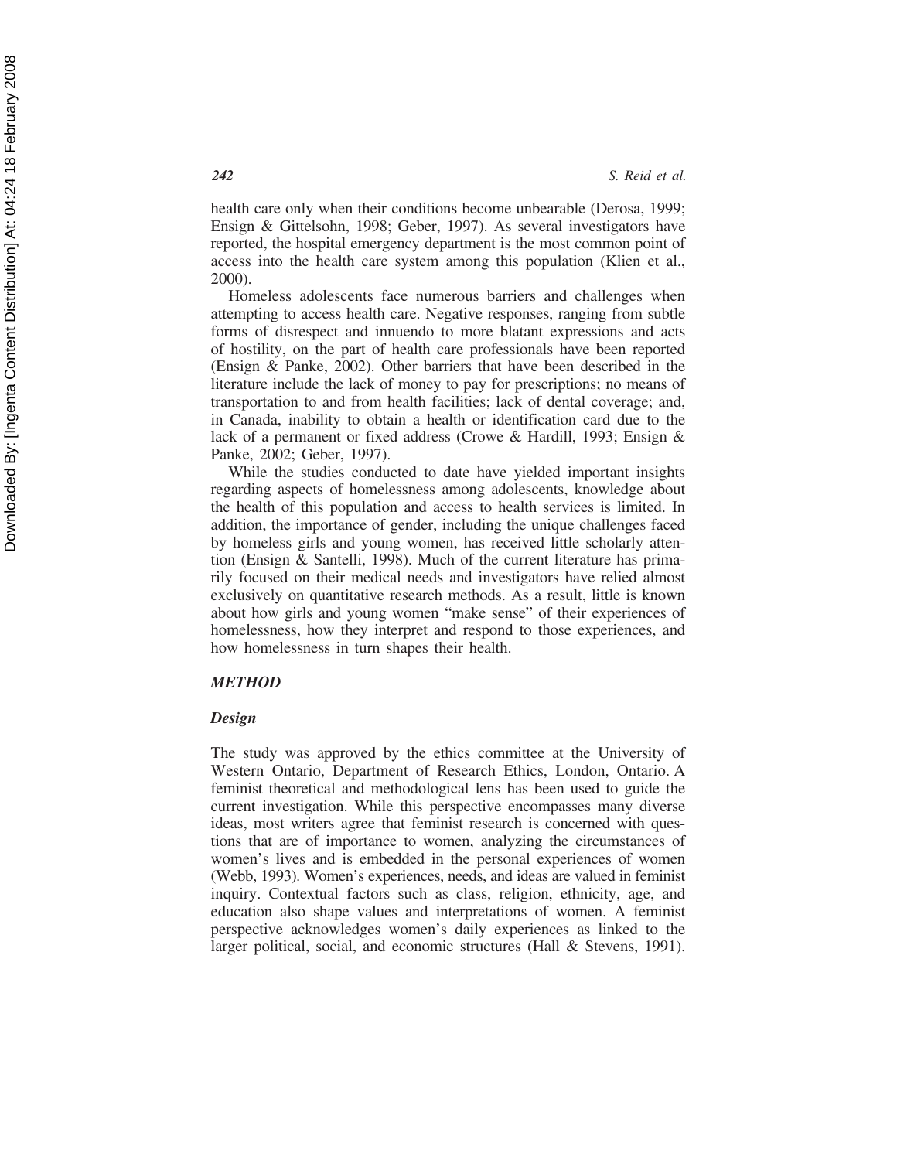health care only when their conditions become unbearable (Derosa, 1999; Ensign & Gittelsohn, 1998; Geber, 1997). As several investigators have reported, the hospital emergency department is the most common point of access into the health care system among this population (Klien et al., 2000).

Homeless adolescents face numerous barriers and challenges when attempting to access health care. Negative responses, ranging from subtle forms of disrespect and innuendo to more blatant expressions and acts of hostility, on the part of health care professionals have been reported (Ensign & Panke, 2002). Other barriers that have been described in the literature include the lack of money to pay for prescriptions; no means of transportation to and from health facilities; lack of dental coverage; and, in Canada, inability to obtain a health or identification card due to the lack of a permanent or fixed address (Crowe & Hardill, 1993; Ensign & Panke, 2002; Geber, 1997).

While the studies conducted to date have yielded important insights regarding aspects of homelessness among adolescents, knowledge about the health of this population and access to health services is limited. In addition, the importance of gender, including the unique challenges faced by homeless girls and young women, has received little scholarly attention (Ensign & Santelli, 1998). Much of the current literature has primarily focused on their medical needs and investigators have relied almost exclusively on quantitative research methods. As a result, little is known about how girls and young women "make sense" of their experiences of homelessness, how they interpret and respond to those experiences, and how homelessness in turn shapes their health.

#### *METHOD*

#### *Design*

The study was approved by the ethics committee at the University of Western Ontario, Department of Research Ethics, London, Ontario. A feminist theoretical and methodological lens has been used to guide the current investigation. While this perspective encompasses many diverse ideas, most writers agree that feminist research is concerned with questions that are of importance to women, analyzing the circumstances of women's lives and is embedded in the personal experiences of women (Webb, 1993). Women's experiences, needs, and ideas are valued in feminist inquiry. Contextual factors such as class, religion, ethnicity, age, and education also shape values and interpretations of women. A feminist perspective acknowledges women's daily experiences as linked to the larger political, social, and economic structures (Hall & Stevens, 1991).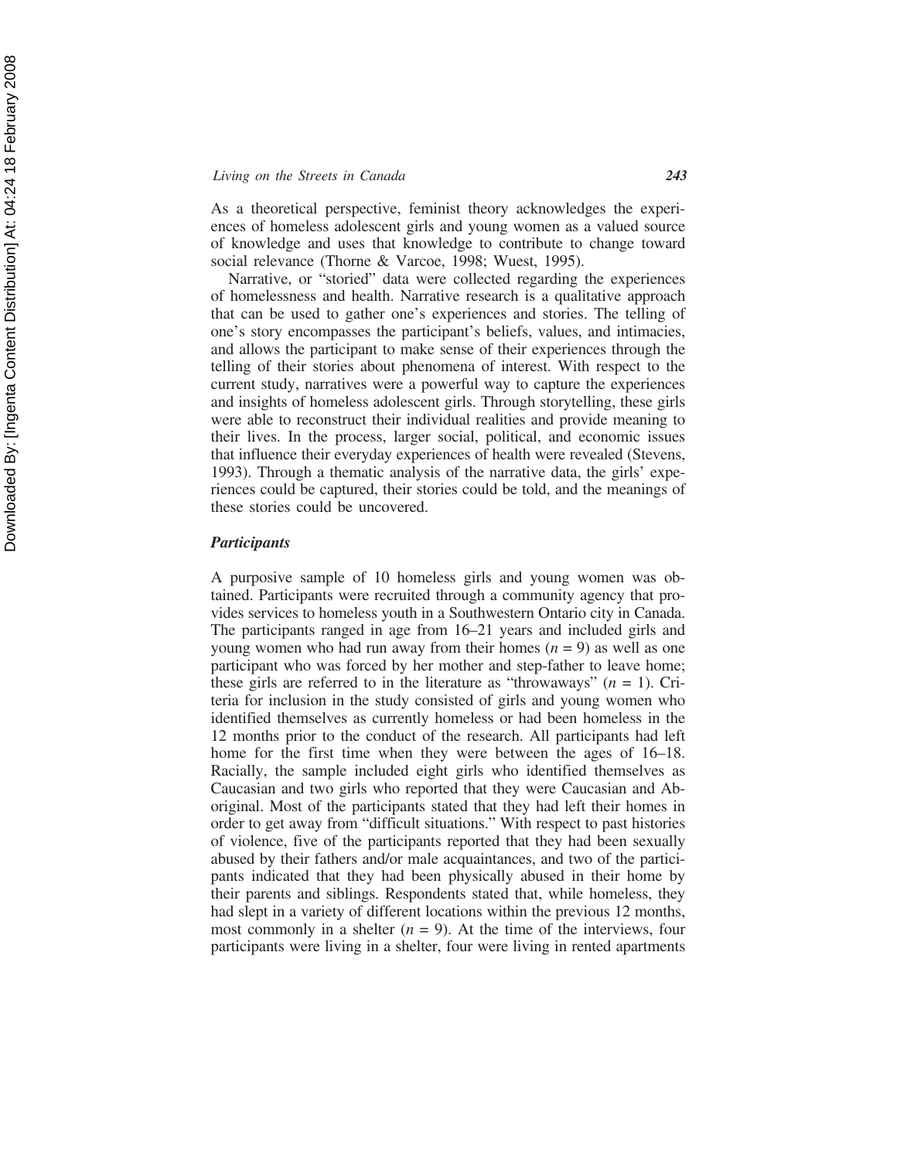As a theoretical perspective, feminist theory acknowledges the experiences of homeless adolescent girls and young women as a valued source of knowledge and uses that knowledge to contribute to change toward social relevance (Thorne & Varcoe, 1998; Wuest, 1995).

Narrative, or "storied" data were collected regarding the experiences of homelessness and health. Narrative research is a qualitative approach that can be used to gather one's experiences and stories. The telling of one's story encompasses the participant's beliefs, values, and intimacies, and allows the participant to make sense of their experiences through the telling of their stories about phenomena of interest. With respect to the current study, narratives were a powerful way to capture the experiences and insights of homeless adolescent girls. Through storytelling, these girls were able to reconstruct their individual realities and provide meaning to their lives. In the process, larger social, political, and economic issues that influence their everyday experiences of health were revealed (Stevens, 1993). Through a thematic analysis of the narrative data, the girls' experiences could be captured, their stories could be told, and the meanings of these stories could be uncovered.

#### *Participants*

A purposive sample of 10 homeless girls and young women was obtained. Participants were recruited through a community agency that provides services to homeless youth in a Southwestern Ontario city in Canada. The participants ranged in age from 16–21 years and included girls and young women who had run away from their homes (*n* = 9) as well as one participant who was forced by her mother and step-father to leave home; these girls are referred to in the literature as "throwaways"  $(n = 1)$ . Criteria for inclusion in the study consisted of girls and young women who identified themselves as currently homeless or had been homeless in the 12 months prior to the conduct of the research. All participants had left home for the first time when they were between the ages of 16–18. Racially, the sample included eight girls who identified themselves as Caucasian and two girls who reported that they were Caucasian and Aboriginal. Most of the participants stated that they had left their homes in order to get away from "difficult situations." With respect to past histories of violence, five of the participants reported that they had been sexually abused by their fathers and/or male acquaintances, and two of the participants indicated that they had been physically abused in their home by their parents and siblings. Respondents stated that, while homeless, they had slept in a variety of different locations within the previous 12 months, most commonly in a shelter  $(n = 9)$ . At the time of the interviews, four participants were living in a shelter, four were living in rented apartments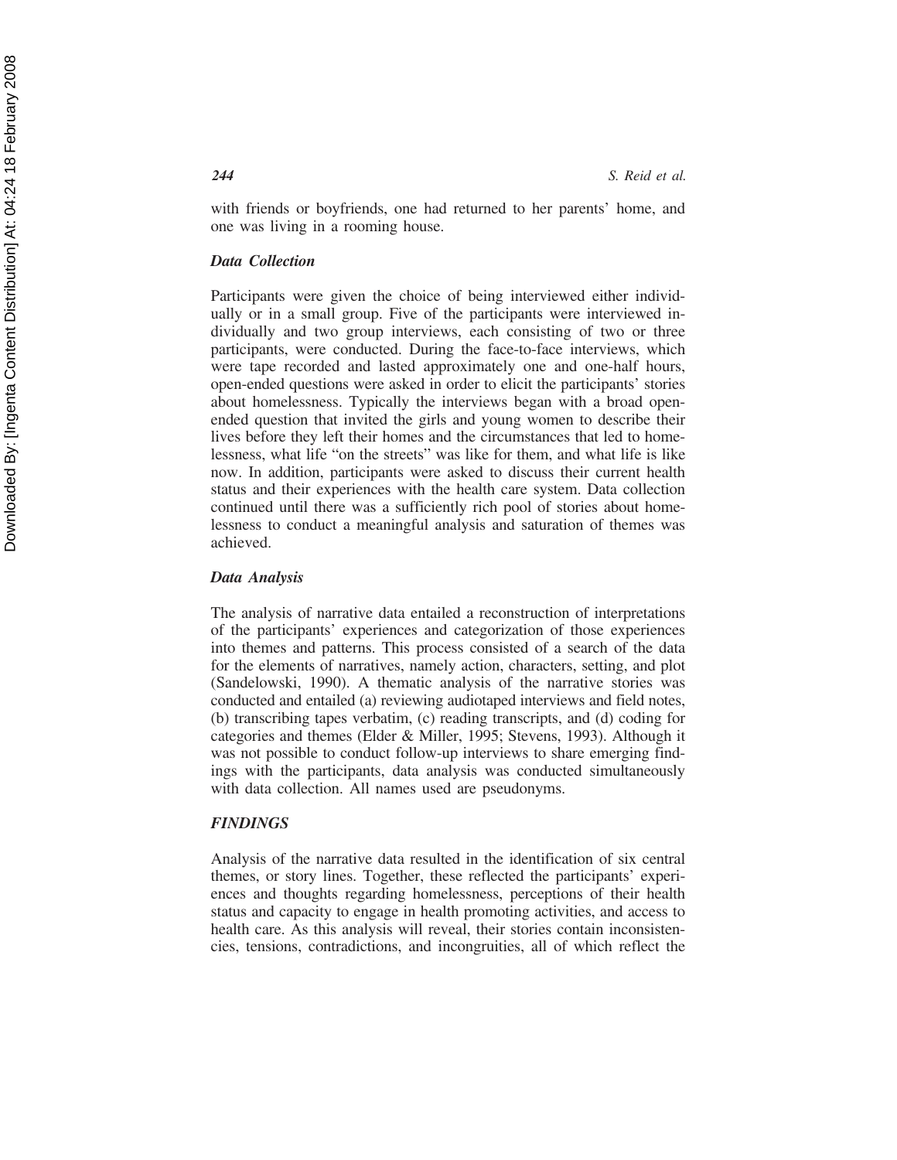with friends or boyfriends, one had returned to her parents' home, and one was living in a rooming house.

#### *Data Collection*

Participants were given the choice of being interviewed either individually or in a small group. Five of the participants were interviewed individually and two group interviews, each consisting of two or three participants, were conducted. During the face-to-face interviews, which were tape recorded and lasted approximately one and one-half hours, open-ended questions were asked in order to elicit the participants' stories about homelessness. Typically the interviews began with a broad openended question that invited the girls and young women to describe their lives before they left their homes and the circumstances that led to homelessness, what life "on the streets" was like for them, and what life is like now. In addition, participants were asked to discuss their current health status and their experiences with the health care system. Data collection continued until there was a sufficiently rich pool of stories about homelessness to conduct a meaningful analysis and saturation of themes was achieved.

#### *Data Analysis*

The analysis of narrative data entailed a reconstruction of interpretations of the participants' experiences and categorization of those experiences into themes and patterns. This process consisted of a search of the data for the elements of narratives, namely action, characters, setting, and plot (Sandelowski, 1990). A thematic analysis of the narrative stories was conducted and entailed (a) reviewing audiotaped interviews and field notes, (b) transcribing tapes verbatim, (c) reading transcripts, and (d) coding for categories and themes (Elder & Miller, 1995; Stevens, 1993). Although it was not possible to conduct follow-up interviews to share emerging findings with the participants, data analysis was conducted simultaneously with data collection. All names used are pseudonyms.

#### *FINDINGS*

Analysis of the narrative data resulted in the identification of six central themes, or story lines. Together, these reflected the participants' experiences and thoughts regarding homelessness, perceptions of their health status and capacity to engage in health promoting activities, and access to health care. As this analysis will reveal, their stories contain inconsistencies, tensions, contradictions, and incongruities, all of which reflect the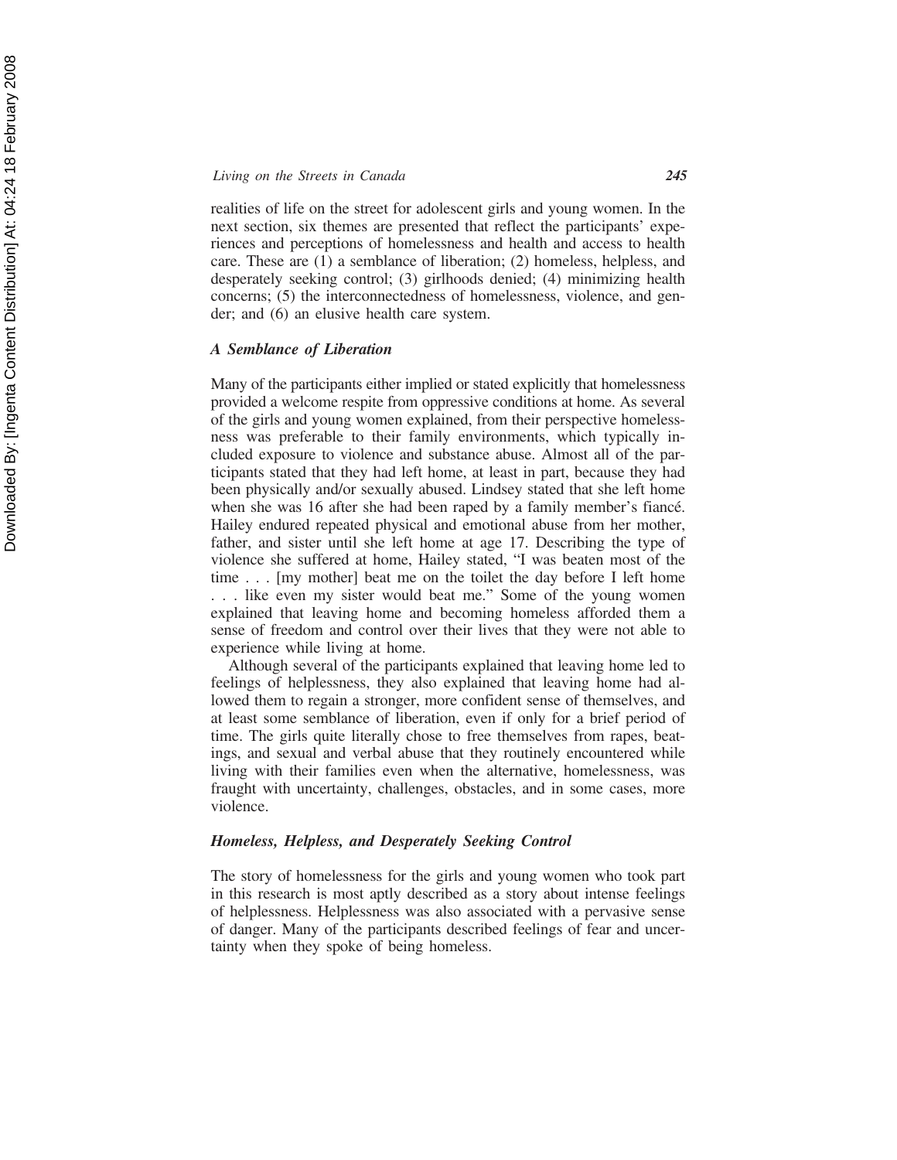realities of life on the street for adolescent girls and young women. In the next section, six themes are presented that reflect the participants' experiences and perceptions of homelessness and health and access to health care. These are (1) a semblance of liberation; (2) homeless, helpless, and desperately seeking control; (3) girlhoods denied; (4) minimizing health concerns; (5) the interconnectedness of homelessness, violence, and gender; and (6) an elusive health care system.

#### *A Semblance of Liberation*

Many of the participants either implied or stated explicitly that homelessness provided a welcome respite from oppressive conditions at home. As several of the girls and young women explained, from their perspective homelessness was preferable to their family environments, which typically included exposure to violence and substance abuse. Almost all of the participants stated that they had left home, at least in part, because they had been physically and/or sexually abused. Lindsey stated that she left home when she was 16 after she had been raped by a family member's fiancé. Hailey endured repeated physical and emotional abuse from her mother, father, and sister until she left home at age 17. Describing the type of violence she suffered at home, Hailey stated, "I was beaten most of the time . . . [my mother] beat me on the toilet the day before I left home . . . like even my sister would beat me." Some of the young women explained that leaving home and becoming homeless afforded them a sense of freedom and control over their lives that they were not able to experience while living at home.

Although several of the participants explained that leaving home led to feelings of helplessness, they also explained that leaving home had allowed them to regain a stronger, more confident sense of themselves, and at least some semblance of liberation, even if only for a brief period of time. The girls quite literally chose to free themselves from rapes, beatings, and sexual and verbal abuse that they routinely encountered while living with their families even when the alternative, homelessness, was fraught with uncertainty, challenges, obstacles, and in some cases, more violence.

#### *Homeless, Helpless, and Desperately Seeking Control*

The story of homelessness for the girls and young women who took part in this research is most aptly described as a story about intense feelings of helplessness. Helplessness was also associated with a pervasive sense of danger. Many of the participants described feelings of fear and uncertainty when they spoke of being homeless.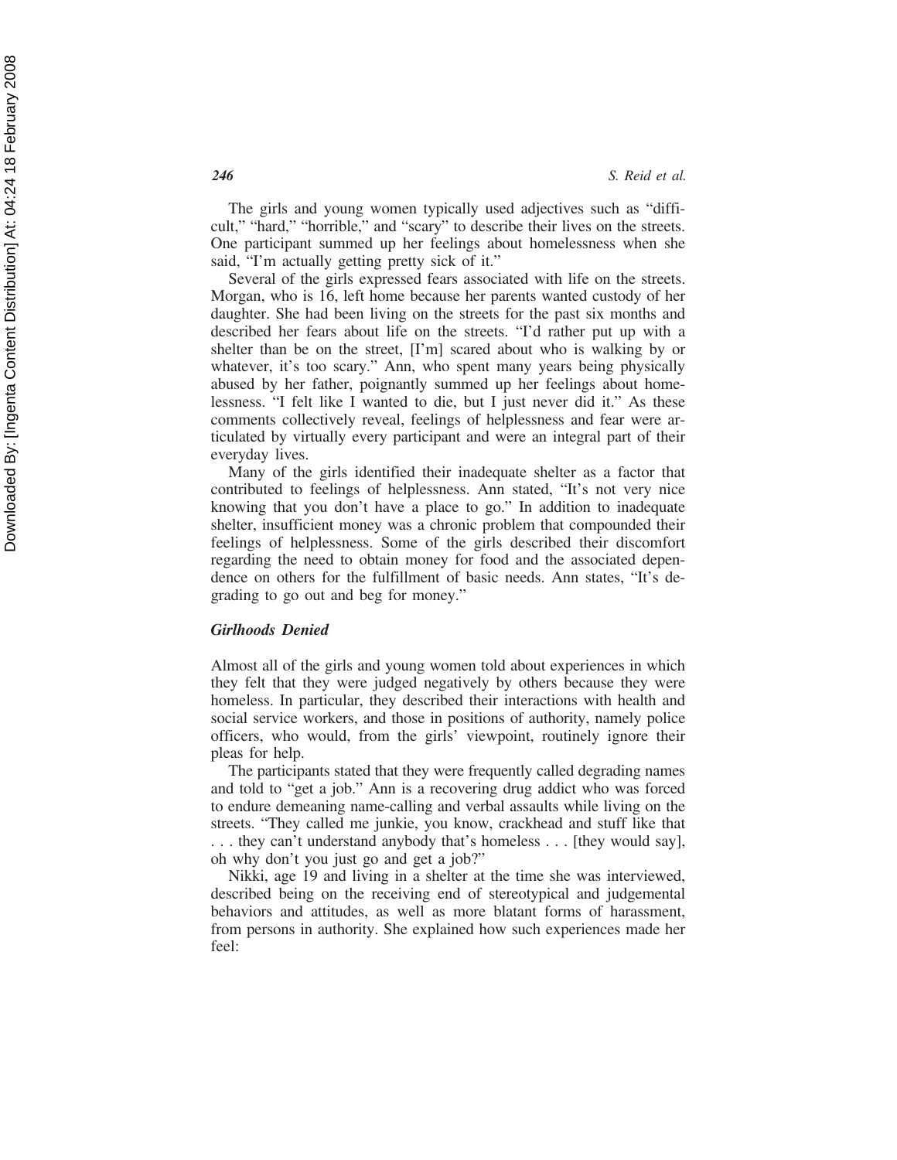The girls and young women typically used adjectives such as "difficult," "hard," "horrible," and "scary" to describe their lives on the streets. One participant summed up her feelings about homelessness when she said, "I'm actually getting pretty sick of it."

Several of the girls expressed fears associated with life on the streets. Morgan, who is 16, left home because her parents wanted custody of her daughter. She had been living on the streets for the past six months and described her fears about life on the streets. "I'd rather put up with a shelter than be on the street, [I'm] scared about who is walking by or whatever, it's too scary." Ann, who spent many years being physically abused by her father, poignantly summed up her feelings about homelessness. "I felt like I wanted to die, but I just never did it." As these comments collectively reveal, feelings of helplessness and fear were articulated by virtually every participant and were an integral part of their everyday lives.

Many of the girls identified their inadequate shelter as a factor that contributed to feelings of helplessness. Ann stated, "It's not very nice knowing that you don't have a place to go." In addition to inadequate shelter, insufficient money was a chronic problem that compounded their feelings of helplessness. Some of the girls described their discomfort regarding the need to obtain money for food and the associated dependence on others for the fulfillment of basic needs. Ann states, "It's degrading to go out and beg for money."

#### *Girlhoods Denied*

Almost all of the girls and young women told about experiences in which they felt that they were judged negatively by others because they were homeless. In particular, they described their interactions with health and social service workers, and those in positions of authority, namely police officers, who would, from the girls' viewpoint, routinely ignore their pleas for help.

The participants stated that they were frequently called degrading names and told to "get a job." Ann is a recovering drug addict who was forced to endure demeaning name-calling and verbal assaults while living on the streets. "They called me junkie, you know, crackhead and stuff like that . . . they can't understand anybody that's homeless . . . [they would say], oh why don't you just go and get a job?"

Nikki, age 19 and living in a shelter at the time she was interviewed, described being on the receiving end of stereotypical and judgemental behaviors and attitudes, as well as more blatant forms of harassment, from persons in authority. She explained how such experiences made her feel: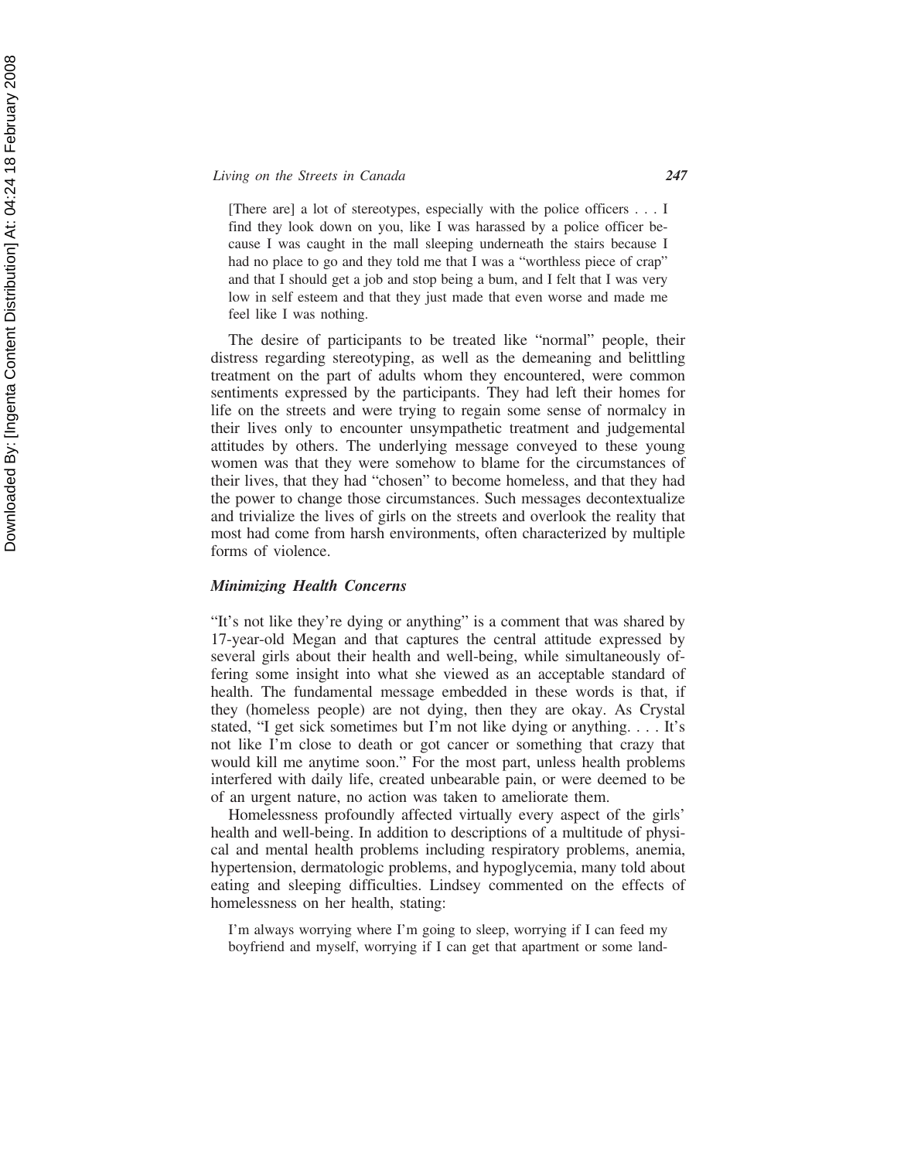[There are] a lot of stereotypes, especially with the police officers . . . I find they look down on you, like I was harassed by a police officer because I was caught in the mall sleeping underneath the stairs because I had no place to go and they told me that I was a "worthless piece of crap" and that I should get a job and stop being a bum, and I felt that I was very low in self esteem and that they just made that even worse and made me feel like I was nothing.

The desire of participants to be treated like "normal" people, their distress regarding stereotyping, as well as the demeaning and belittling treatment on the part of adults whom they encountered, were common sentiments expressed by the participants. They had left their homes for life on the streets and were trying to regain some sense of normalcy in their lives only to encounter unsympathetic treatment and judgemental attitudes by others. The underlying message conveyed to these young women was that they were somehow to blame for the circumstances of their lives, that they had "chosen" to become homeless, and that they had the power to change those circumstances. Such messages decontextualize and trivialize the lives of girls on the streets and overlook the reality that most had come from harsh environments, often characterized by multiple forms of violence.

#### *Minimizing Health Concerns*

"It's not like they're dying or anything" is a comment that was shared by 17-year-old Megan and that captures the central attitude expressed by several girls about their health and well-being, while simultaneously offering some insight into what she viewed as an acceptable standard of health. The fundamental message embedded in these words is that, if they (homeless people) are not dying, then they are okay. As Crystal stated, "I get sick sometimes but I'm not like dying or anything. . . . It's not like I'm close to death or got cancer or something that crazy that would kill me anytime soon." For the most part, unless health problems interfered with daily life, created unbearable pain, or were deemed to be of an urgent nature, no action was taken to ameliorate them.

Homelessness profoundly affected virtually every aspect of the girls' health and well-being. In addition to descriptions of a multitude of physical and mental health problems including respiratory problems, anemia, hypertension, dermatologic problems, and hypoglycemia, many told about eating and sleeping difficulties. Lindsey commented on the effects of homelessness on her health, stating:

I'm always worrying where I'm going to sleep, worrying if I can feed my boyfriend and myself, worrying if I can get that apartment or some land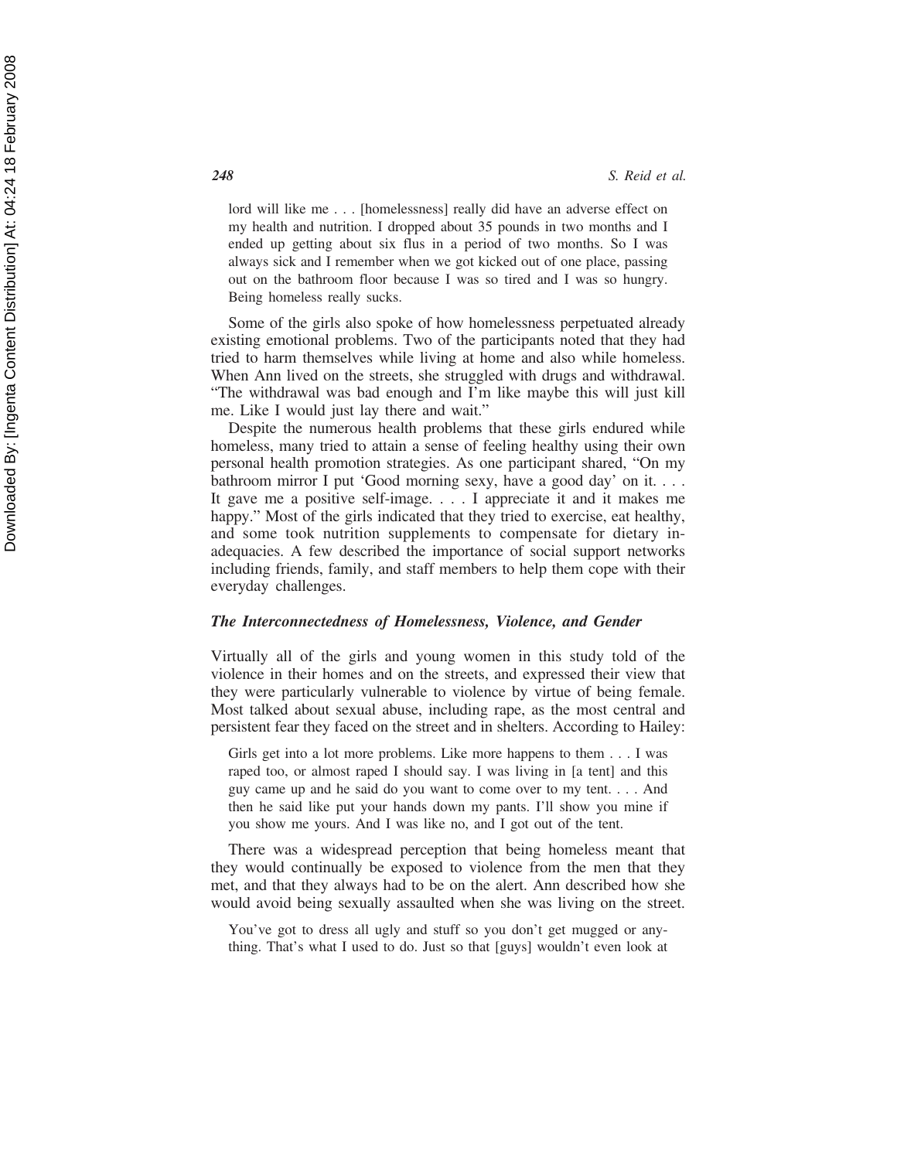lord will like me . . . [homelessness] really did have an adverse effect on my health and nutrition. I dropped about 35 pounds in two months and I ended up getting about six flus in a period of two months. So I was always sick and I remember when we got kicked out of one place, passing out on the bathroom floor because I was so tired and I was so hungry. Being homeless really sucks.

Some of the girls also spoke of how homelessness perpetuated already existing emotional problems. Two of the participants noted that they had tried to harm themselves while living at home and also while homeless. When Ann lived on the streets, she struggled with drugs and withdrawal. "The withdrawal was bad enough and I'm like maybe this will just kill me. Like I would just lay there and wait."

Despite the numerous health problems that these girls endured while homeless, many tried to attain a sense of feeling healthy using their own personal health promotion strategies. As one participant shared, "On my bathroom mirror I put 'Good morning sexy, have a good day' on it. . . . It gave me a positive self-image. . . . I appreciate it and it makes me happy." Most of the girls indicated that they tried to exercise, eat healthy, and some took nutrition supplements to compensate for dietary inadequacies. A few described the importance of social support networks including friends, family, and staff members to help them cope with their everyday challenges.

#### *The Interconnectedness of Homelessness, Violence, and Gender*

Virtually all of the girls and young women in this study told of the violence in their homes and on the streets, and expressed their view that they were particularly vulnerable to violence by virtue of being female. Most talked about sexual abuse, including rape, as the most central and persistent fear they faced on the street and in shelters. According to Hailey:

Girls get into a lot more problems. Like more happens to them . . . I was raped too, or almost raped I should say. I was living in [a tent] and this guy came up and he said do you want to come over to my tent. . . . And then he said like put your hands down my pants. I'll show you mine if you show me yours. And I was like no, and I got out of the tent.

There was a widespread perception that being homeless meant that they would continually be exposed to violence from the men that they met, and that they always had to be on the alert. Ann described how she would avoid being sexually assaulted when she was living on the street.

You've got to dress all ugly and stuff so you don't get mugged or anything. That's what I used to do. Just so that [guys] wouldn't even look at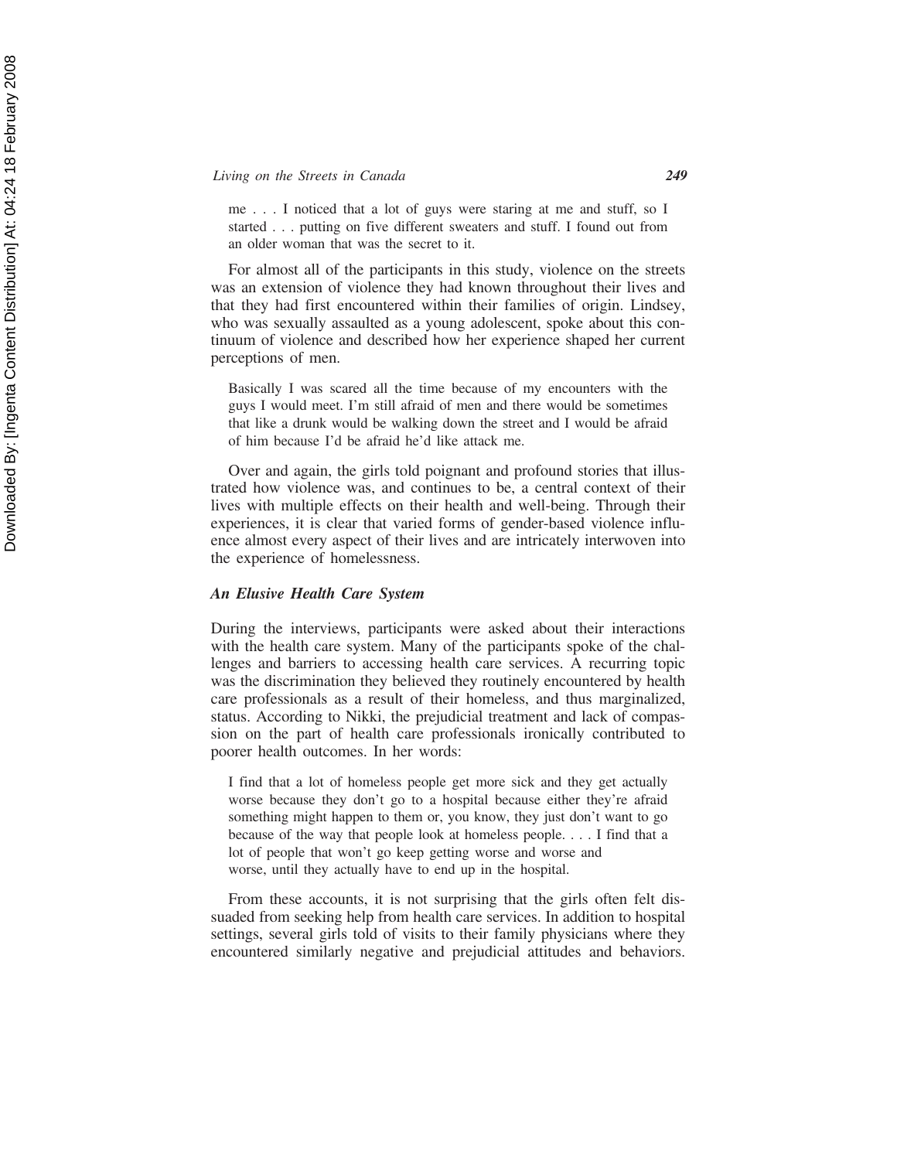me . . . I noticed that a lot of guys were staring at me and stuff, so I started . . . putting on five different sweaters and stuff. I found out from an older woman that was the secret to it.

For almost all of the participants in this study, violence on the streets was an extension of violence they had known throughout their lives and that they had first encountered within their families of origin. Lindsey, who was sexually assaulted as a young adolescent, spoke about this continuum of violence and described how her experience shaped her current perceptions of men.

Basically I was scared all the time because of my encounters with the guys I would meet. I'm still afraid of men and there would be sometimes that like a drunk would be walking down the street and I would be afraid of him because I'd be afraid he'd like attack me.

Over and again, the girls told poignant and profound stories that illustrated how violence was, and continues to be, a central context of their lives with multiple effects on their health and well-being. Through their experiences, it is clear that varied forms of gender-based violence influence almost every aspect of their lives and are intricately interwoven into the experience of homelessness.

#### *An Elusive Health Care System*

During the interviews, participants were asked about their interactions with the health care system. Many of the participants spoke of the challenges and barriers to accessing health care services. A recurring topic was the discrimination they believed they routinely encountered by health care professionals as a result of their homeless, and thus marginalized, status. According to Nikki, the prejudicial treatment and lack of compassion on the part of health care professionals ironically contributed to poorer health outcomes. In her words:

I find that a lot of homeless people get more sick and they get actually worse because they don't go to a hospital because either they're afraid something might happen to them or, you know, they just don't want to go because of the way that people look at homeless people. . . . I find that a lot of people that won't go keep getting worse and worse and worse, until they actually have to end up in the hospital.

From these accounts, it is not surprising that the girls often felt dissuaded from seeking help from health care services. In addition to hospital settings, several girls told of visits to their family physicians where they encountered similarly negative and prejudicial attitudes and behaviors.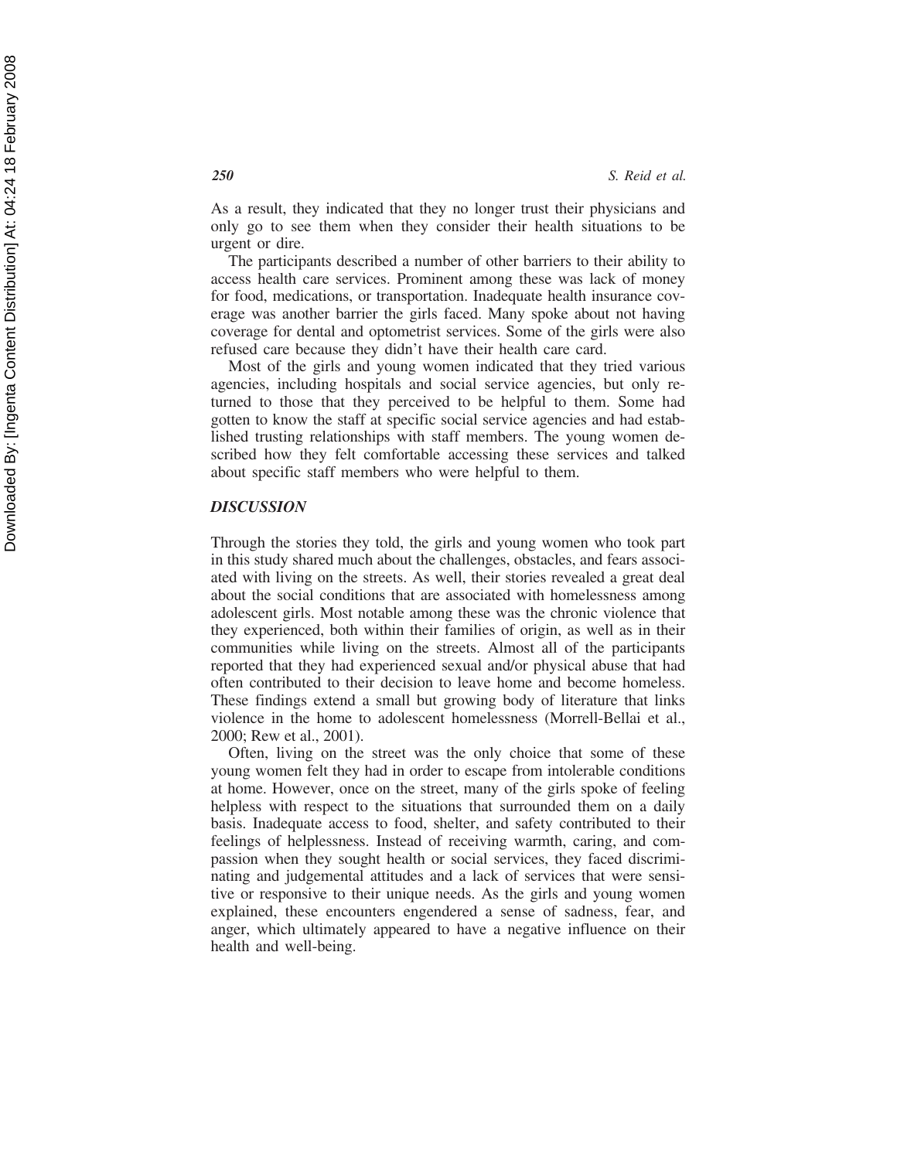As a result, they indicated that they no longer trust their physicians and only go to see them when they consider their health situations to be urgent or dire.

The participants described a number of other barriers to their ability to access health care services. Prominent among these was lack of money for food, medications, or transportation. Inadequate health insurance coverage was another barrier the girls faced. Many spoke about not having coverage for dental and optometrist services. Some of the girls were also refused care because they didn't have their health care card.

Most of the girls and young women indicated that they tried various agencies, including hospitals and social service agencies, but only returned to those that they perceived to be helpful to them. Some had gotten to know the staff at specific social service agencies and had established trusting relationships with staff members. The young women described how they felt comfortable accessing these services and talked about specific staff members who were helpful to them.

#### *DISCUSSION*

Through the stories they told, the girls and young women who took part in this study shared much about the challenges, obstacles, and fears associated with living on the streets. As well, their stories revealed a great deal about the social conditions that are associated with homelessness among adolescent girls. Most notable among these was the chronic violence that they experienced, both within their families of origin, as well as in their communities while living on the streets. Almost all of the participants reported that they had experienced sexual and/or physical abuse that had often contributed to their decision to leave home and become homeless. These findings extend a small but growing body of literature that links violence in the home to adolescent homelessness (Morrell-Bellai et al., 2000; Rew et al., 2001).

Often, living on the street was the only choice that some of these young women felt they had in order to escape from intolerable conditions at home. However, once on the street, many of the girls spoke of feeling helpless with respect to the situations that surrounded them on a daily basis. Inadequate access to food, shelter, and safety contributed to their feelings of helplessness. Instead of receiving warmth, caring, and compassion when they sought health or social services, they faced discriminating and judgemental attitudes and a lack of services that were sensitive or responsive to their unique needs. As the girls and young women explained, these encounters engendered a sense of sadness, fear, and anger, which ultimately appeared to have a negative influence on their health and well-being.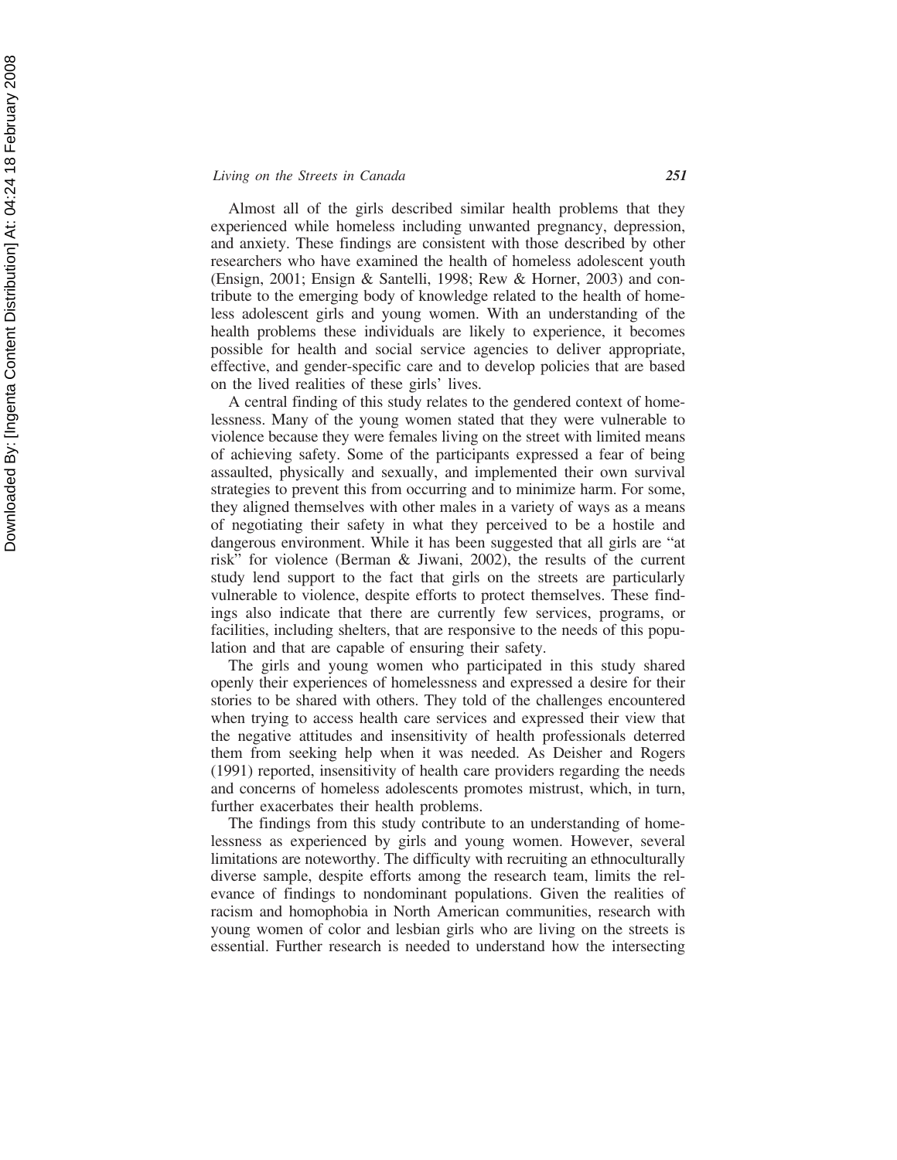Almost all of the girls described similar health problems that they experienced while homeless including unwanted pregnancy, depression, and anxiety. These findings are consistent with those described by other researchers who have examined the health of homeless adolescent youth (Ensign, 2001; Ensign & Santelli, 1998; Rew & Horner, 2003) and contribute to the emerging body of knowledge related to the health of homeless adolescent girls and young women. With an understanding of the health problems these individuals are likely to experience, it becomes possible for health and social service agencies to deliver appropriate, effective, and gender-specific care and to develop policies that are based on the lived realities of these girls' lives.

A central finding of this study relates to the gendered context of homelessness. Many of the young women stated that they were vulnerable to violence because they were females living on the street with limited means of achieving safety. Some of the participants expressed a fear of being assaulted, physically and sexually, and implemented their own survival strategies to prevent this from occurring and to minimize harm. For some, they aligned themselves with other males in a variety of ways as a means of negotiating their safety in what they perceived to be a hostile and dangerous environment. While it has been suggested that all girls are "at risk" for violence (Berman & Jiwani, 2002), the results of the current study lend support to the fact that girls on the streets are particularly vulnerable to violence, despite efforts to protect themselves. These findings also indicate that there are currently few services, programs, or facilities, including shelters, that are responsive to the needs of this population and that are capable of ensuring their safety.

The girls and young women who participated in this study shared openly their experiences of homelessness and expressed a desire for their stories to be shared with others. They told of the challenges encountered when trying to access health care services and expressed their view that the negative attitudes and insensitivity of health professionals deterred them from seeking help when it was needed. As Deisher and Rogers (1991) reported, insensitivity of health care providers regarding the needs and concerns of homeless adolescents promotes mistrust, which, in turn, further exacerbates their health problems.

The findings from this study contribute to an understanding of homelessness as experienced by girls and young women. However, several limitations are noteworthy. The difficulty with recruiting an ethnoculturally diverse sample, despite efforts among the research team, limits the relevance of findings to nondominant populations. Given the realities of racism and homophobia in North American communities, research with young women of color and lesbian girls who are living on the streets is essential. Further research is needed to understand how the intersecting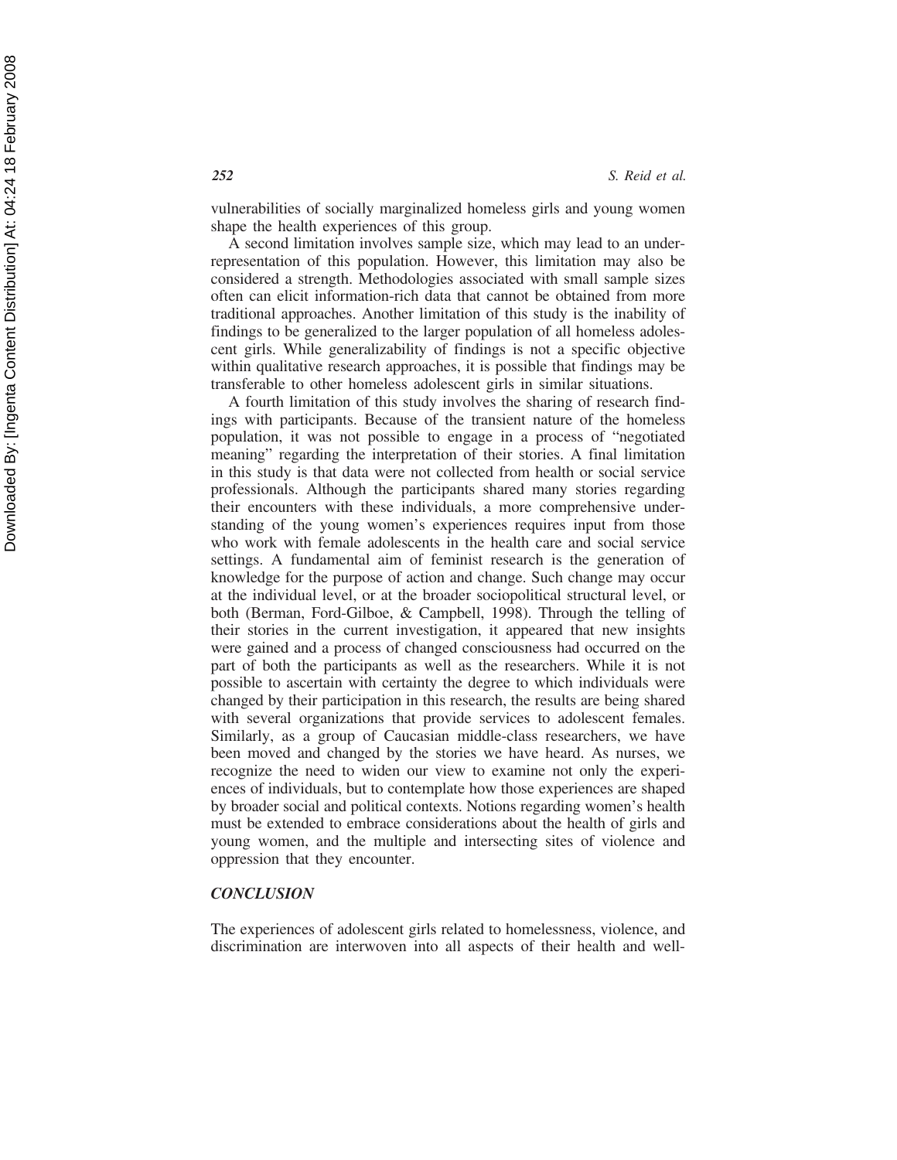vulnerabilities of socially marginalized homeless girls and young women shape the health experiences of this group.

A second limitation involves sample size, which may lead to an underrepresentation of this population. However, this limitation may also be considered a strength. Methodologies associated with small sample sizes often can elicit information-rich data that cannot be obtained from more traditional approaches. Another limitation of this study is the inability of findings to be generalized to the larger population of all homeless adolescent girls. While generalizability of findings is not a specific objective within qualitative research approaches, it is possible that findings may be transferable to other homeless adolescent girls in similar situations.

A fourth limitation of this study involves the sharing of research findings with participants. Because of the transient nature of the homeless population, it was not possible to engage in a process of "negotiated meaning" regarding the interpretation of their stories. A final limitation in this study is that data were not collected from health or social service professionals. Although the participants shared many stories regarding their encounters with these individuals, a more comprehensive understanding of the young women's experiences requires input from those who work with female adolescents in the health care and social service settings. A fundamental aim of feminist research is the generation of knowledge for the purpose of action and change. Such change may occur at the individual level, or at the broader sociopolitical structural level, or both (Berman, Ford-Gilboe, & Campbell, 1998). Through the telling of their stories in the current investigation, it appeared that new insights were gained and a process of changed consciousness had occurred on the part of both the participants as well as the researchers. While it is not possible to ascertain with certainty the degree to which individuals were changed by their participation in this research, the results are being shared with several organizations that provide services to adolescent females. Similarly, as a group of Caucasian middle-class researchers, we have been moved and changed by the stories we have heard. As nurses, we recognize the need to widen our view to examine not only the experiences of individuals, but to contemplate how those experiences are shaped by broader social and political contexts. Notions regarding women's health must be extended to embrace considerations about the health of girls and young women, and the multiple and intersecting sites of violence and oppression that they encounter.

#### *CONCLUSION*

The experiences of adolescent girls related to homelessness, violence, and discrimination are interwoven into all aspects of their health and well-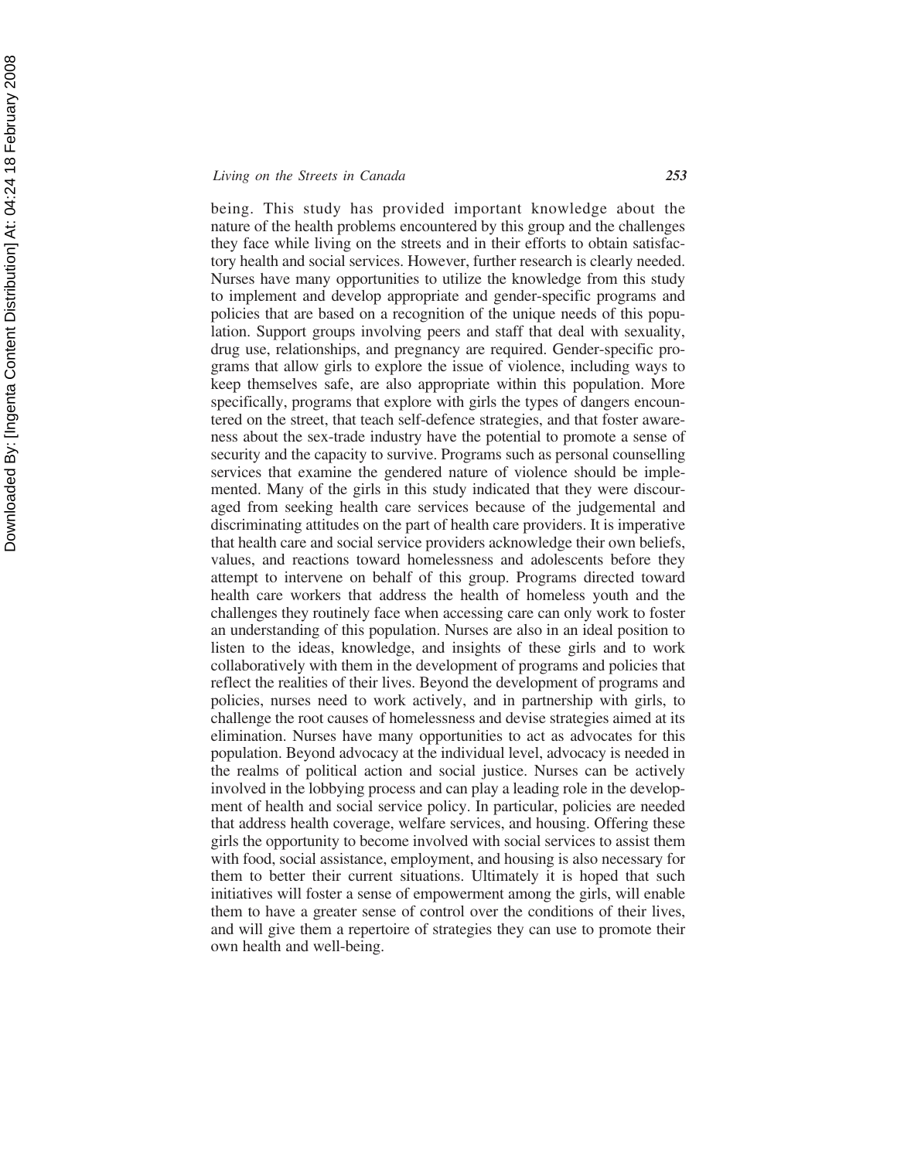being. This study has provided important knowledge about the nature of the health problems encountered by this group and the challenges they face while living on the streets and in their efforts to obtain satisfactory health and social services. However, further research is clearly needed. Nurses have many opportunities to utilize the knowledge from this study to implement and develop appropriate and gender-specific programs and policies that are based on a recognition of the unique needs of this population. Support groups involving peers and staff that deal with sexuality, drug use, relationships, and pregnancy are required. Gender-specific programs that allow girls to explore the issue of violence, including ways to keep themselves safe, are also appropriate within this population. More specifically, programs that explore with girls the types of dangers encountered on the street, that teach self-defence strategies, and that foster awareness about the sex-trade industry have the potential to promote a sense of security and the capacity to survive. Programs such as personal counselling services that examine the gendered nature of violence should be implemented. Many of the girls in this study indicated that they were discouraged from seeking health care services because of the judgemental and discriminating attitudes on the part of health care providers. It is imperative that health care and social service providers acknowledge their own beliefs, values, and reactions toward homelessness and adolescents before they attempt to intervene on behalf of this group. Programs directed toward health care workers that address the health of homeless youth and the challenges they routinely face when accessing care can only work to foster an understanding of this population. Nurses are also in an ideal position to listen to the ideas, knowledge, and insights of these girls and to work collaboratively with them in the development of programs and policies that reflect the realities of their lives. Beyond the development of programs and policies, nurses need to work actively, and in partnership with girls, to challenge the root causes of homelessness and devise strategies aimed at its elimination. Nurses have many opportunities to act as advocates for this population. Beyond advocacy at the individual level, advocacy is needed in the realms of political action and social justice. Nurses can be actively involved in the lobbying process and can play a leading role in the development of health and social service policy. In particular, policies are needed that address health coverage, welfare services, and housing. Offering these girls the opportunity to become involved with social services to assist them with food, social assistance, employment, and housing is also necessary for them to better their current situations. Ultimately it is hoped that such initiatives will foster a sense of empowerment among the girls, will enable them to have a greater sense of control over the conditions of their lives, and will give them a repertoire of strategies they can use to promote their own health and well-being.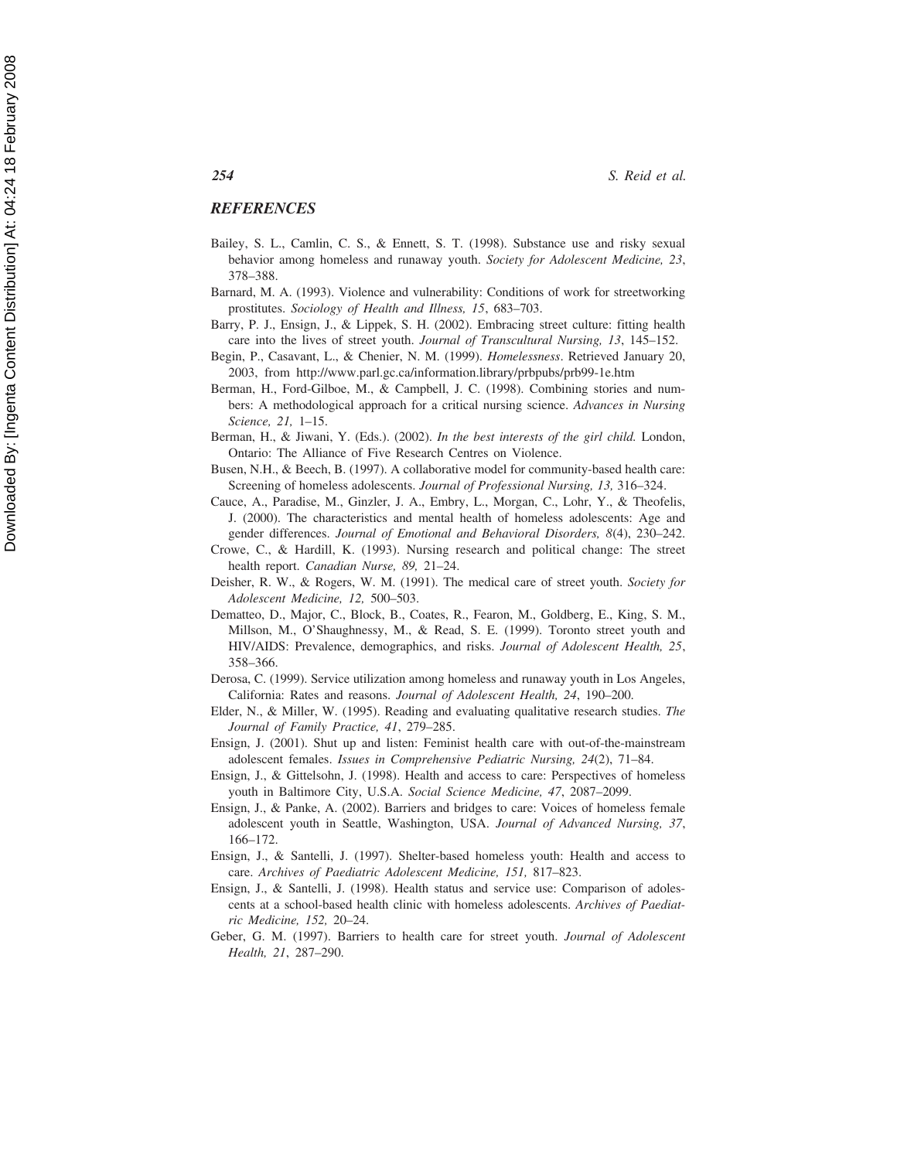#### *REFERENCES*

- Bailey, S. L., Camlin, C. S., & Ennett, S. T. (1998). Substance use and risky sexual behavior among homeless and runaway youth. *Society for Adolescent Medicine, 23*, 378–388.
- Barnard, M. A. (1993). Violence and vulnerability: Conditions of work for streetworking prostitutes. *Sociology of Health and Illness, 15*, 683–703.
- Barry, P. J., Ensign, J., & Lippek, S. H. (2002). Embracing street culture: fitting health care into the lives of street youth. *Journal of Transcultural Nursing, 13*, 145–152.
- Begin, P., Casavant, L., & Chenier, N. M. (1999). *Homelessness*. Retrieved January 20, 2003, from http://www.parl.gc.ca/information.library/prbpubs/prb99-1e.htm
- Berman, H., Ford-Gilboe, M., & Campbell, J. C. (1998). Combining stories and numbers: A methodological approach for a critical nursing science. *Advances in Nursing Science, 21,* 1–15.
- Berman, H., & Jiwani, Y. (Eds.). (2002). *In the best interests of the girl child.* London, Ontario: The Alliance of Five Research Centres on Violence.
- Busen, N.H., & Beech, B. (1997). A collaborative model for community-based health care: Screening of homeless adolescents. *Journal of Professional Nursing, 13,* 316–324.
- Cauce, A., Paradise, M., Ginzler, J. A., Embry, L., Morgan, C., Lohr, Y., & Theofelis, J. (2000). The characteristics and mental health of homeless adolescents: Age and gender differences. *Journal of Emotional and Behavioral Disorders, 8*(4), 230–242.
- Crowe, C., & Hardill, K. (1993). Nursing research and political change: The street health report. *Canadian Nurse, 89,* 21–24.
- Deisher, R. W., & Rogers, W. M. (1991). The medical care of street youth. *Society for Adolescent Medicine, 12,* 500–503.
- Dematteo, D., Major, C., Block, B., Coates, R., Fearon, M., Goldberg, E., King, S. M., Millson, M., O'Shaughnessy, M., & Read, S. E. (1999). Toronto street youth and HIV/AIDS: Prevalence, demographics, and risks. *Journal of Adolescent Health, 25*, 358–366.
- Derosa, C. (1999). Service utilization among homeless and runaway youth in Los Angeles, California: Rates and reasons. *Journal of Adolescent Health, 24*, 190–200.
- Elder, N., & Miller, W. (1995). Reading and evaluating qualitative research studies. *The Journal of Family Practice, 41*, 279–285.
- Ensign, J. (2001). Shut up and listen: Feminist health care with out-of-the-mainstream adolescent females. *Issues in Comprehensive Pediatric Nursing, 24*(2), 71–84.
- Ensign, J., & Gittelsohn, J. (1998). Health and access to care: Perspectives of homeless youth in Baltimore City, U.S.A. *Social Science Medicine, 47*, 2087–2099.
- Ensign, J., & Panke, A. (2002). Barriers and bridges to care: Voices of homeless female adolescent youth in Seattle, Washington, USA. *Journal of Advanced Nursing, 37*, 166–172.
- Ensign, J., & Santelli, J. (1997). Shelter-based homeless youth: Health and access to care. *Archives of Paediatric Adolescent Medicine, 151,* 817–823.
- Ensign, J., & Santelli, J. (1998). Health status and service use: Comparison of adolescents at a school-based health clinic with homeless adolescents. *Archives of Paediatric Medicine, 152,* 20–24.
- Geber, G. M. (1997). Barriers to health care for street youth. *Journal of Adolescent Health, 21*, 287–290.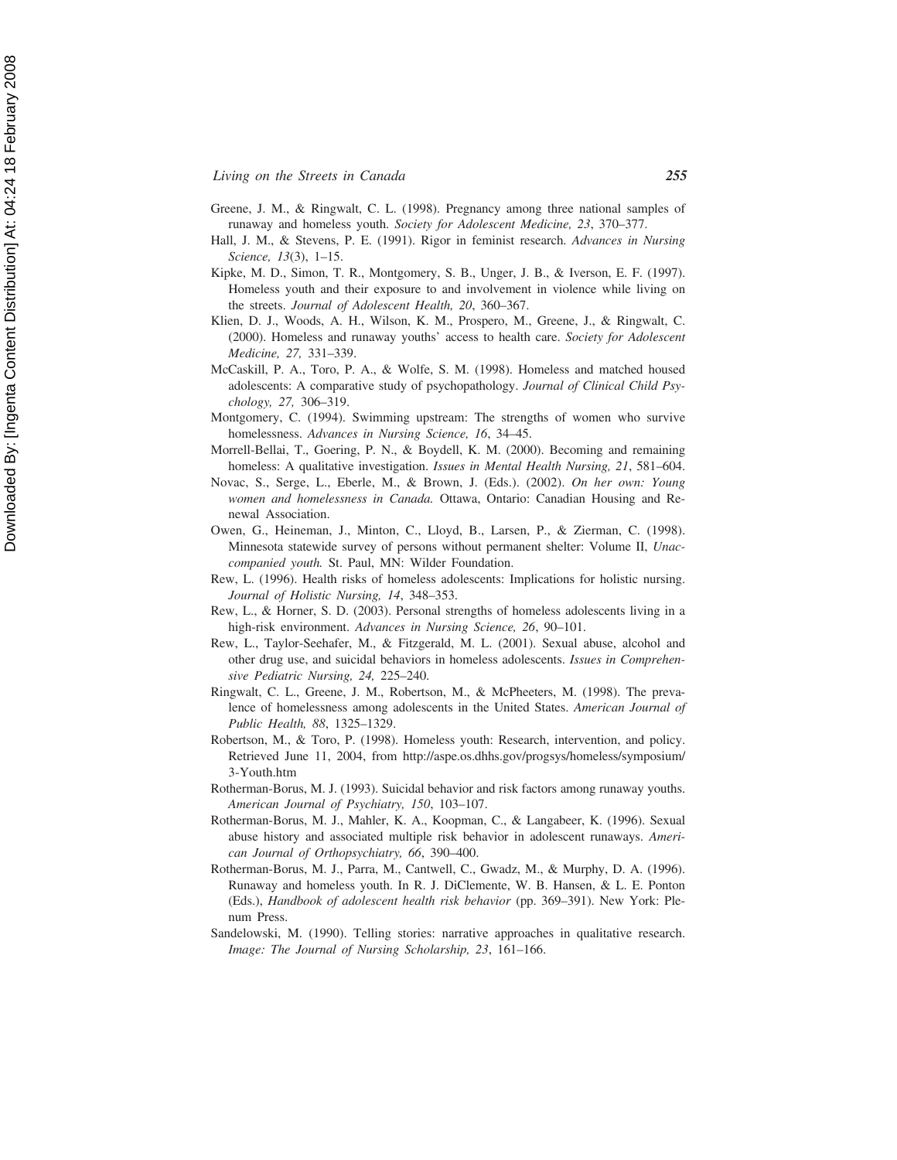- Greene, J. M., & Ringwalt, C. L. (1998). Pregnancy among three national samples of runaway and homeless youth. *Society for Adolescent Medicine, 23*, 370–377.
- Hall, J. M., & Stevens, P. E. (1991). Rigor in feminist research. *Advances in Nursing Science, 13*(3), 1–15.
- Kipke, M. D., Simon, T. R., Montgomery, S. B., Unger, J. B., & Iverson, E. F. (1997). Homeless youth and their exposure to and involvement in violence while living on the streets. *Journal of Adolescent Health, 20*, 360–367.
- Klien, D. J., Woods, A. H., Wilson, K. M., Prospero, M., Greene, J., & Ringwalt, C. (2000). Homeless and runaway youths' access to health care. *Society for Adolescent Medicine, 27,* 331–339.
- McCaskill, P. A., Toro, P. A., & Wolfe, S. M. (1998). Homeless and matched housed adolescents: A comparative study of psychopathology. *Journal of Clinical Child Psychology, 27,* 306–319.
- Montgomery, C. (1994). Swimming upstream: The strengths of women who survive homelessness. *Advances in Nursing Science, 16*, 34–45.
- Morrell-Bellai, T., Goering, P. N., & Boydell, K. M. (2000). Becoming and remaining homeless: A qualitative investigation. *Issues in Mental Health Nursing, 21*, 581–604.
- Novac, S., Serge, L., Eberle, M., & Brown, J. (Eds.). (2002). *On her own: Young women and homelessness in Canada.* Ottawa, Ontario: Canadian Housing and Renewal Association.
- Owen, G., Heineman, J., Minton, C., Lloyd, B., Larsen, P., & Zierman, C. (1998). Minnesota statewide survey of persons without permanent shelter: Volume II, *Unaccompanied youth.* St. Paul, MN: Wilder Foundation.
- Rew, L. (1996). Health risks of homeless adolescents: Implications for holistic nursing. *Journal of Holistic Nursing, 14*, 348–353.
- Rew, L., & Horner, S. D. (2003). Personal strengths of homeless adolescents living in a high-risk environment. *Advances in Nursing Science, 26*, 90–101.
- Rew, L., Taylor-Seehafer, M., & Fitzgerald, M. L. (2001). Sexual abuse, alcohol and other drug use, and suicidal behaviors in homeless adolescents. *Issues in Comprehensive Pediatric Nursing, 24,* 225–240.
- Ringwalt, C. L., Greene, J. M., Robertson, M., & McPheeters, M. (1998). The prevalence of homelessness among adolescents in the United States. *American Journal of Public Health, 88*, 1325–1329.
- Robertson, M., & Toro, P. (1998). Homeless youth: Research, intervention, and policy. Retrieved June 11, 2004, from http://aspe.os.dhhs.gov/progsys/homeless/symposium/ 3-Youth.htm
- Rotherman-Borus, M. J. (1993). Suicidal behavior and risk factors among runaway youths. *American Journal of Psychiatry, 150*, 103–107.
- Rotherman-Borus, M. J., Mahler, K. A., Koopman, C., & Langabeer, K. (1996). Sexual abuse history and associated multiple risk behavior in adolescent runaways. *American Journal of Orthopsychiatry, 66*, 390–400.
- Rotherman-Borus, M. J., Parra, M., Cantwell, C., Gwadz, M., & Murphy, D. A. (1996). Runaway and homeless youth. In R. J. DiClemente, W. B. Hansen, & L. E. Ponton (Eds.), *Handbook of adolescent health risk behavior* (pp. 369–391). New York: Plenum Press.
- Sandelowski, M. (1990). Telling stories: narrative approaches in qualitative research. *Image: The Journal of Nursing Scholarship, 23*, 161–166.